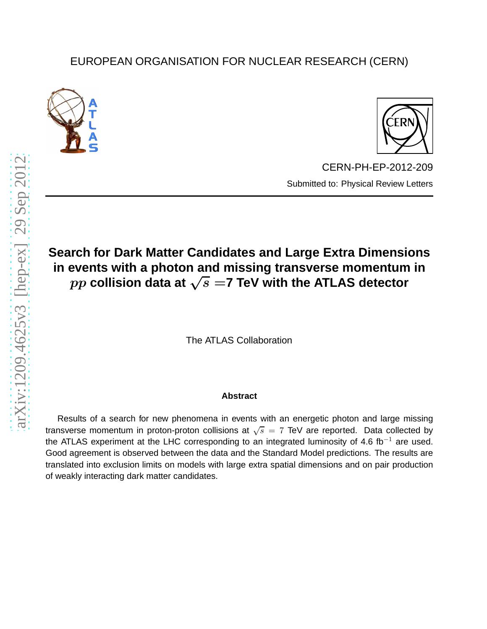## EUROPEAN ORGANISATION FOR NUCLEAR RESEARCH (CERN)





CERN-PH-EP-2012-209 Submitted to: Physical Review Letters

## **Search for Dark Matter Candidates and Large Extra Dimensions in events with a photon and missing transverse momentum in** pp collision data at  $\sqrt{s}$  =7 TeV with the ATLAS detector

The ATLAS Collaboration

## **Abstract**

Results of a search for new phenomena in events with an energetic photon and large missing transverse momentum in proton-proton collisions at  $\sqrt{s} = 7$  TeV are reported. Data collected by the ATLAS experiment at the LHC corresponding to an integrated luminosity of 4.6 fb<sup>-1</sup> are used. Good agreement is observed between the data and the Standard Model predictions. The results are translated into exclusion limits on models with large extra spatial dimensions and on pair production of weakly interacting dark matter candidates.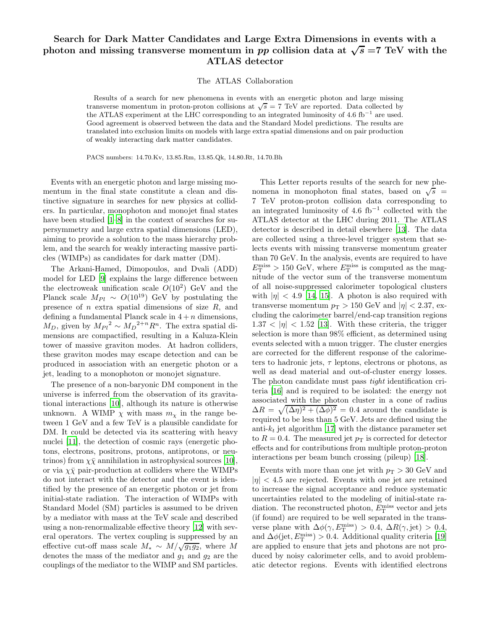## Search for Dark Matter Candidates and Large Extra Dimensions in events with a photon and missing transverse momentum in pp collision data at  $\sqrt{s}$  =7 TeV with the ATLAS detector

The ATLAS Collaboration

Results of a search for new phenomena in events with an energetic photon and large missing transverse momentum in proton-proton collisions at  $\sqrt{s} = 7$  TeV are reported. Data collected by the ATLAS experiment at the LHC corresponding to an integrated luminosity of 4.6 fb<sup>−</sup><sup>1</sup> are used. Good agreement is observed between the data and the Standard Model predictions. The results are translated into exclusion limits on models with large extra spatial dimensions and on pair production of weakly interacting dark matter candidates.

PACS numbers: 14.70.Kv, 13.85.Rm, 13.85.Qk, 14.80.Rt, 14.70.Bh

Events with an energetic photon and large missing momentum in the final state constitute a clean and distinctive signature in searches for new physics at colliders. In particular, monophoton and monojet final states have been studied  $[1-8]$  in the context of searches for supersymmetry and large extra spatial dimensions (LED), aiming to provide a solution to the mass hierarchy problem, and the search for weakly interacting massive particles (WIMPs) as candidates for dark matter (DM).

The Arkani-Hamed, Dimopoulos, and Dvali (ADD) model for LED [\[9\]](#page-5-2) explains the large difference between the electroweak unification scale  $O(10^2)$  GeV and the Planck scale  $M_{Pl} \sim O(10^{19})$  GeV by postulating the presence of  $n$  extra spatial dimensions of size  $R$ , and defining a fundamental Planck scale in  $4 + n$  dimensions,  $M_D$ , given by  $M_{Pl}^2 \sim M_D^{2+n} R^n$ . The extra spatial dimensions are compactified, resulting in a Kaluza-Klein tower of massive graviton modes. At hadron colliders, these graviton modes may escape detection and can be produced in association with an energetic photon or a jet, leading to a monophoton or monojet signature.

The presence of a non-baryonic DM component in the universe is inferred from the observation of its gravitational interactions [\[10\]](#page-5-3), although its nature is otherwise unknown. A WIMP  $\chi$  with mass  $m_{\chi}$  in the range between 1 GeV and a few TeV is a plausible candidate for DM. It could be detected via its scattering with heavy nuclei [\[11\]](#page-5-4), the detection of cosmic rays (energetic photons, electrons, positrons, protons, antiprotons, or neutrinos) from  $\chi \bar{\chi}$  annihilation in astrophysical sources [\[10\]](#page-5-3), or via  $\chi \bar{\chi}$  pair-production at colliders where the WIMPs do not interact with the detector and the event is identified by the presence of an energetic photon or jet from initial-state radiation. The interaction of WIMPs with Standard Model (SM) particles is assumed to be driven by a mediator with mass at the TeV scale and described using a non-renormalizable effective theory [\[12\]](#page-5-5) with several operators. The vertex coupling is suppressed by an effective cut-off mass scale  $M_* \sim M/\sqrt{\overline{g_1g_2}}$ , where M denotes the mass of the mediator and  $g_1$  and  $g_2$  are the couplings of the mediator to the WIMP and SM particles.

This Letter reports results of the search for new phenomena in monophoton final states, based on  $\sqrt{s}$  = 7 TeV proton-proton collision data corresponding to an integrated luminosity of 4.6 fb<sup>-1</sup> collected with the ATLAS detector at the LHC during 2011. The ATLAS detector is described in detail elsewhere [\[13\]](#page-5-6). The data are collected using a three-level trigger system that selects events with missing transverse momentum greater than 70 GeV. In the analysis, events are required to have  $E_{\rm T}^{\rm miss} > 150$  GeV, where  $E_{\rm T}^{\rm miss}$  is computed as the magnitude of the vector sum of the transverse momentum of all noise-suppressed calorimeter topological clusters with  $|\eta| < 4.9$  [\[14,](#page-5-7) [15](#page-5-8)]. A photon is also required with transverse momentum  $p_T > 150$  GeV and  $|\eta| < 2.37$ , excluding the calorimeter barrel/end-cap transition regions  $1.37 < |\eta| < 1.52$  [\[13\]](#page-5-6). With these criteria, the trigger selection is more than 98% efficient, as determined using events selected with a muon trigger. The cluster energies are corrected for the different response of the calorimeters to hadronic jets,  $\tau$  leptons, electrons or photons, as well as dead material and out-of-cluster energy losses. The photon candidate must pass tight identification criteria [\[16\]](#page-5-9) and is required to be isolated: the energy not associated with the photon cluster in a cone of radius  $\Delta R = \sqrt{(\Delta \eta)^2 + (\Delta \phi)^2} = 0.4$  around the candidate is required to be less than 5 GeV. Jets are defined using the anti- $k_t$  jet algorithm [\[17](#page-5-10)] with the distance parameter set to  $R = 0.4$ . The measured jet  $p<sub>T</sub>$  is corrected for detector effects and for contributions from multiple proton-proton interactions per beam bunch crossing (pileup) [\[18](#page-5-11)].

Events with more than one jet with  $p_T > 30$  GeV and  $|\eta|$  < 4.5 are rejected. Events with one jet are retained to increase the signal acceptance and reduce systematic uncertainties related to the modeling of initial-state radiation. The reconstructed photon,  $E_{\rm T}^{\rm miss}$  vector and jets (if found) are required to be well separated in the transverse plane with  $\Delta\phi(\gamma, E_{\rm T}^{\rm miss}) > 0.4$ ,  $\Delta R(\gamma, \text{jet}) > 0.4$ , and  $\Delta\phi$ (jet,  $E_{\rm T}^{\rm miss}$ ) > 0.4. Additional quality criteria [\[19](#page-5-12)] are applied to ensure that jets and photons are not produced by noisy calorimeter cells, and to avoid problematic detector regions. Events with identified electrons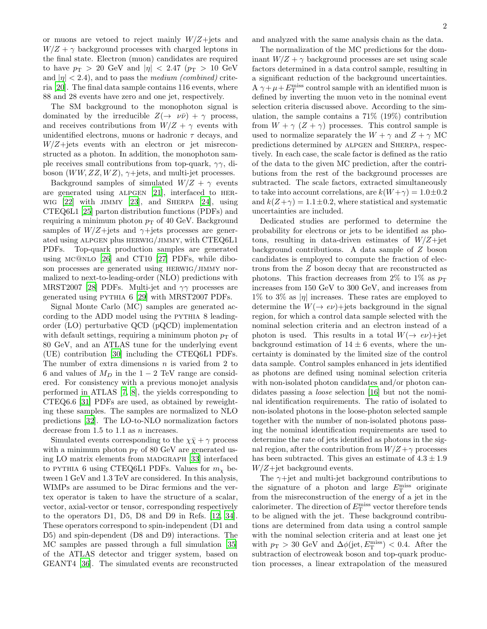or muons are vetoed to reject mainly  $W/Z +$ jets and  $W/Z + \gamma$  background processes with charged leptons in the final state. Electron (muon) candidates are required to have  $p_T > 20$  GeV and  $|\eta| < 2.47$  ( $p_T > 10$  GeV and  $|\eta|$  < 2.4), and to pass the *medium (combined)* criteria [\[20\]](#page-5-13). The final data sample contains 116 events, where 88 and 28 events have zero and one jet, respectively.

The SM background to the monophoton signal is dominated by the irreducible  $Z(\rightarrow \nu\bar{\nu}) + \gamma$  process, and receives contributions from  $W/Z + \gamma$  events with unidentified electrons, muons or hadronic  $\tau$  decays, and  $W/Z + \text{jets}$  events with an electron or jet misreconstructed as a photon. In addition, the monophoton sample receives small contributions from top-quark,  $\gamma\gamma$ , diboson  $(WW, ZZ, WZ), \gamma + \text{jets}$ , and multi-jet processes.

Background samples of simulated  $W/Z + \gamma$  events are generated using ALPGEN [\[21\]](#page-5-14), interfaced to HERwig [\[22](#page-5-15)] with jimmy [\[23\]](#page-5-16), and Sherpa [\[24\]](#page-5-17), using CTEQ6L1 [\[25\]](#page-5-18) parton distribution functions (PDFs) and requiring a minimum photon  $p_T$  of 40 GeV. Background samples of  $W/Z + \text{jets}$  and  $\gamma + \text{jets}$  processes are generated using ALPGEN plus HERWIG/JIMMY, with CTEQ6L1 PDFs. Top-quark production samples are generated using mc@nlo [\[26](#page-5-19)] and CT10 [\[27\]](#page-5-20) PDFs, while diboson processes are generated using HERWIG/JIMMY normalized to next-to-leading-order (NLO) predictions with MRST2007 [\[28](#page-5-21)] PDFs. Multi-jet and  $\gamma\gamma$  processes are generated using pythia 6 [\[29\]](#page-5-22) with MRST2007 PDFs.

Signal Monte Carlo (MC) samples are generated according to the ADD model using the PYTHIA 8 leadingorder (LO) perturbative QCD (pQCD) implementation with default settings, requiring a minimum photon  $p<sub>T</sub>$  of 80 GeV, and an ATLAS tune for the underlying event (UE) contribution [\[30\]](#page-5-23) including the CTEQ6L1 PDFs. The number of extra dimensions  $n$  is varied from 2 to 6 and values of  $M_D$  in the 1 − 2 TeV range are considered. For consistency with a previous monojet analysis performed in ATLAS [\[7,](#page-5-24) [8](#page-5-1)], the yields corresponding to CTEQ6.6 [\[31](#page-5-25)] PDFs are used, as obtained by reweighting these samples. The samples are normalized to NLO predictions [\[32](#page-5-26)]. The LO-to-NLO normalization factors decrease from 1.5 to 1.1 as  $n$  increases.

Simulated events corresponding to the  $\chi \bar{\chi} + \gamma$  process with a minimum photon  $p_T$  of 80 GeV are generated using LO matrix elements from madgraph [\[33](#page-5-27)] interfaced to PYTHIA 6 using CTEQ6L1 PDFs. Values for  $m<sub>x</sub>$  between 1 GeV and 1.3 TeV are considered. In this analysis, WIMPs are assumed to be Dirac fermions and the vertex operator is taken to have the structure of a scalar, vector, axial-vector or tensor, corresponding respectively to the operators D1, D5, D8 and D9 in Refs. [\[12](#page-5-5), [34\]](#page-5-28). These operators correspond to spin-independent (D1 and D5) and spin-dependent (D8 and D9) interactions. The MC samples are passed through a full simulation [\[35](#page-5-29)] of the ATLAS detector and trigger system, based on GEANT4 [\[36\]](#page-5-30). The simulated events are reconstructed

and analyzed with the same analysis chain as the data.

The normalization of the MC predictions for the dominant  $W/Z + \gamma$  background processes are set using scale factors determined in a data control sample, resulting in a significant reduction of the background uncertainties. A  $\gamma + \mu + E_{\textrm{T}}^{\textrm{miss}}$  control sample with an identified muon is defined by inverting the muon veto in the nominal event selection criteria discussed above. According to the simulation, the sample contains a 71% (19%) contribution from  $W + \gamma (Z + \gamma)$  processes. This control sample is used to normalize separately the  $W + \gamma$  and  $Z + \gamma$  MC predictions determined by alpgen and Sherpa, respectively. In each case, the scale factor is defined as the ratio of the data to the given MC prediction, after the contributions from the rest of the background processes are subtracted. The scale factors, extracted simultaneously to take into account correlations, are  $k(W + \gamma) = 1.0 \pm 0.2$ and  $k(Z+\gamma) = 1.1 \pm 0.2$ , where statistical and systematic uncertainties are included.

Dedicated studies are performed to determine the probability for electrons or jets to be identified as photons, resulting in data-driven estimates of  $W/Z + jet$ background contributions. A data sample of Z boson candidates is employed to compute the fraction of electrons from the Z boson decay that are reconstructed as photons. This fraction decreases from 2% to 1% as  $p_T$ increases from 150 GeV to 300 GeV, and increases from  $1\%$  to  $3\%$  as  $|\eta|$  increases. These rates are employed to determine the  $W(\rightarrow e\nu)$ +jets background in the signal region, for which a control data sample selected with the nominal selection criteria and an electron instead of a photon is used. This results in a total  $W(\rightarrow e\nu)$ +jet background estimation of  $14 \pm 6$  events, where the uncertainty is dominated by the limited size of the control data sample. Control samples enhanced in jets identified as photons are defined using nominal selection criteria with non-isolated photon candidates and/or photon candidates passing a *loose* selection [\[16](#page-5-9)] but not the nominal identification requirements. The ratio of isolated to non-isolated photons in the loose-photon selected sample together with the number of non-isolated photons passing the nominal identification requirements are used to determine the rate of jets identified as photons in the signal region, after the contribution from  $W/Z + \gamma$  processes has been subtracted. This gives an estimate of  $4.3 \pm 1.9$  $W/Z + jet$  background events.

The  $\gamma$ +jet and multi-jet background contributions to the signature of a photon and large  $E_{\rm T}^{\rm miss}$  originate from the misreconstruction of the energy of a jet in the calorimeter. The direction of  $E_{\rm T}^{\rm miss}$  vector therefore tends to be aligned with the jet. These background contributions are determined from data using a control sample with the nominal selection criteria and at least one jet with  $p_T > 30$  GeV and  $\Delta\phi$ (jet,  $E_T^{\text{miss}}$ ) < 0.4. After the subtraction of electroweak boson and top-quark production processes, a linear extrapolation of the measured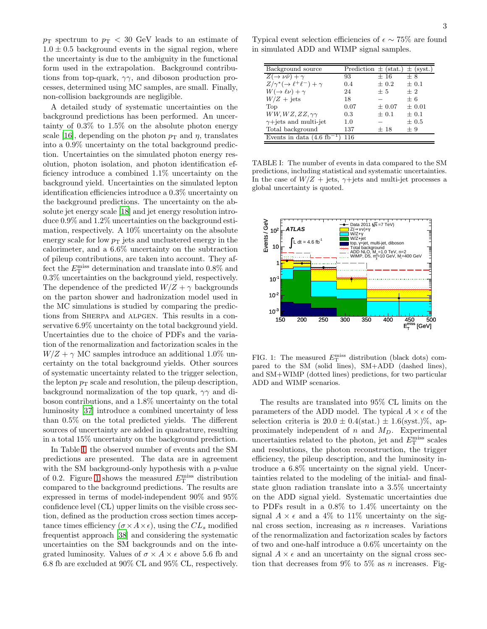$p_T$  spectrum to  $p_T < 30$  GeV leads to an estimate of  $1.0 \pm 0.5$  background events in the signal region, where the uncertainty is due to the ambiguity in the functional form used in the extrapolation. Background contributions from top-quark,  $\gamma\gamma$ , and diboson production processes, determined using MC samples, are small. Finally, non-collision backgrounds are negligible.

A detailed study of systematic uncertainties on the background predictions has been performed. An uncertainty of 0.3% to 1.5% on the absolute photon energy scale [\[16\]](#page-5-9), depending on the photon  $p_T$  and  $\eta$ , translates into a 0.9% uncertainty on the total background prediction. Uncertainties on the simulated photon energy resolution, photon isolation, and photon identification efficiency introduce a combined 1.1% uncertainty on the background yield. Uncertainties on the simulated lepton identification efficiencies introduce a 0.3% uncertainty on the background predictions. The uncertainty on the absolute jet energy scale [\[18\]](#page-5-11) and jet energy resolution introduce 0.9% and 1.2% uncertainties on the background estimation, respectively. A 10% uncertainty on the absolute energy scale for low  $p_T$  jets and unclustered energy in the calorimeter, and a 6.6% uncertainty on the subtraction of pileup contributions, are taken into account. They affect the  $E_{\rm T}^{\rm miss}$  determination and translate into 0.8% and 0.3% uncertainties on the background yield, respectively. The dependence of the predicted  $W/Z + \gamma$  backgrounds on the parton shower and hadronization model used in the MC simulations is studied by comparing the predictions from Sherpa and alpgen. This results in a conservative 6.9% uncertainty on the total background yield. Uncertainties due to the choice of PDFs and the variation of the renormalization and factorization scales in the  $W/Z + \gamma$  MC samples introduce an additional 1.0% uncertainty on the total background yields. Other sources of systematic uncertainty related to the trigger selection, the lepton  $p<sub>T</sub>$  scale and resolution, the pileup description, background normalization of the top quark,  $\gamma\gamma$  and diboson contributions, and a 1.8% uncertainty on the total luminosity [\[37\]](#page-5-31) introduce a combined uncertainty of less than 0.5% on the total predicted yields. The different sources of uncertainty are added in quadrature, resulting in a total 15% uncertainty on the background prediction.

In Table [I,](#page-3-0) the observed number of events and the SM predictions are presented. The data are in agreement with the SM background-only hypothesis with a  $p$ -value of 0.2. Figure [1](#page-3-1) shows the measured  $E_{\rm T}^{\rm miss}$  distribution compared to the background predictions. The results are expressed in terms of model-independent 90% and 95% confidence level (CL) upper limits on the visible cross section, defined as the production cross section times acceptance times efficiency  $(\sigma \times A \times \epsilon)$ , using the  $CL_s$  modified frequentist approach [\[38](#page-5-32)] and considering the systematic uncertainties on the SM backgrounds and on the integrated luminosity. Values of  $\sigma \times A \times \epsilon$  above 5.6 fb and 6.8 fb are excluded at 90% CL and 95% CL, respectively.

Typical event selection efficiencies of  $\epsilon \sim 75\%$  are found in simulated ADD and WIMP signal samples.

| Background source                             | Prediction $\pm$ (stat.) |            | $\pm$ (syst.) |
|-----------------------------------------------|--------------------------|------------|---------------|
| $Z(\rightarrow \nu \bar{\nu}) + \gamma$       | 93                       | ±16        | ± 8           |
| $Z/\gamma^*(\rightarrow \ell^+\ell^-)+\gamma$ | 0.4                      | $\pm 0.2$  | $\pm 0.1$     |
| $W(\rightarrow \ell \nu) + \gamma$            | 24                       | $+5$       | $+2$          |
| $W/Z + \text{jets}$                           | 18                       |            | $+6$          |
| Top                                           | 0.07                     | $\pm 0.07$ | $\pm 0.01$    |
| $WW, WZ, ZZ, \gamma\gamma$                    | 0.3                      | $\pm 0.1$  | $\pm 0.1$     |
| $\gamma$ +jets and multi-jet                  | 1.0                      |            | $\pm 0.5$     |
| Total background                              | 137                      | ±18        | ±9            |
| Events in data $(4.6 \text{ fb}^{-1})$        | 116                      |            |               |

<span id="page-3-0"></span>TABLE I: The number of events in data compared to the SM predictions, including statistical and systematic uncertainties. In the case of  $W/Z$  + jets,  $\gamma$ +jets and multi-jet processes a global uncertainty is quoted.



<span id="page-3-1"></span>FIG. 1: The measured  $E_{\rm T}^{\rm miss}$  distribution (black dots) compared to the SM (solid lines), SM+ADD (dashed lines), and SM+WIMP (dotted lines) predictions, for two particular ADD and WIMP scenarios.

The results are translated into 95% CL limits on the parameters of the ADD model. The typical  $A \times \epsilon$  of the selection criteria is  $20.0 \pm 0.4$  (stat.)  $\pm 1.6$  (syst.)%, approximately independent of  $n$  and  $M_D$ . Experimental uncertainties related to the photon, jet and  $E_{\rm T}^{\rm miss}$  scales and resolutions, the photon reconstruction, the trigger efficiency, the pileup description, and the luminosity introduce a 6.8% uncertainty on the signal yield. Uncertainties related to the modeling of the initial- and finalstate gluon radiation translate into a 3.5% uncertainty on the ADD signal yield. Systematic uncertainties due to PDFs result in a 0.8% to 1.4% uncertainty on the signal  $A \times \epsilon$  and a 4% to 11% uncertainty on the signal cross section, increasing as  $n$  increases. Variations of the renormalization and factorization scales by factors of two and one-half introduce a 0.6% uncertainty on the signal  $A \times \epsilon$  and an uncertainty on the signal cross section that decreases from  $9\%$  to  $5\%$  as n increases. Fig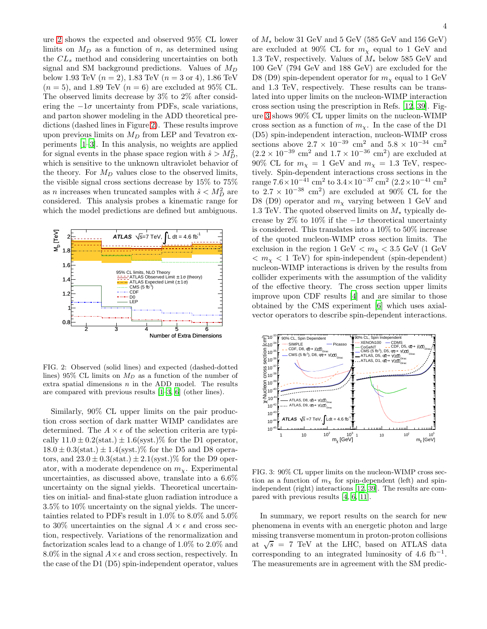ure [2](#page-4-0) shows the expected and observed 95% CL lower limits on  $M_D$  as a function of n, as determined using the  $CL<sub>s</sub>$  method and considering uncertainties on both signal and SM background predictions. Values of  $M_D$ below 1.93 TeV  $(n = 2)$ , 1.83 TeV  $(n = 3 \text{ or } 4)$ , 1.86 TeV  $(n = 5)$ , and 1.89 TeV  $(n = 6)$  are excluded at 95% CL. The observed limits decrease by 3% to 2% after considering the  $-1\sigma$  uncertainty from PDFs, scale variations, and parton shower modeling in the ADD theoretical predictions (dashed lines in Figure [2\)](#page-4-0). These results improve upon previous limits on  $M_D$  from LEP and Tevatron experiments [\[1](#page-5-0)[–3\]](#page-5-33). In this analysis, no weights are applied for signal events in the phase space region with  $\hat{s} > M_D^2$ , which is sensitive to the unknown ultraviolet behavior of the theory. For  $M_D$  values close to the observed limits, the visible signal cross sections decrease by 15% to 75% as n increases when truncated samples with  $\hat{s} < M_D^2$  are considered. This analysis probes a kinematic range for which the model predictions are defined but ambiguous.



<span id="page-4-0"></span>FIG. 2: Observed (solid lines) and expected (dashed-dotted lines) 95% CL limits on  $M_D$  as a function of the number of extra spatial dimensions  $n$  in the ADD model. The results are compared with previous results [\[1](#page-5-0)[–3,](#page-5-33) [6\]](#page-5-34) (other lines).

Similarly, 90% CL upper limits on the pair production cross section of dark matter WIMP candidates are determined. The  $A \times \epsilon$  of the selection criteria are typically  $11.0 \pm 0.2$ (stat.)  $\pm 1.6$ (syst.)% for the D1 operator,  $18.0 \pm 0.3$ (stat.)  $\pm 1.4$ (syst.)% for the D5 and D8 operators, and  $23.0 \pm 0.3$  (stat.)  $\pm 2.1$  (syst.)% for the D9 operator, with a moderate dependence on  $m<sub>x</sub>$ . Experimental uncertainties, as discussed above, translate into a 6.6% uncertainty on the signal yields. Theoretical uncertainties on initial- and final-state gluon radiation introduce a 3.5% to 10% uncertainty on the signal yields. The uncertainties related to PDFs result in 1.0% to 8.0% and 5.0% to 30% uncertainties on the signal  $A \times \epsilon$  and cross section, respectively. Variations of the renormalization and factorization scales lead to a change of 1.0% to 2.0% and 8.0% in the signal  $A \times \epsilon$  and cross section, respectively. In the case of the D1 (D5) spin-independent operator, values

of  $M_*$  below 31 GeV and 5 GeV (585 GeV and 156 GeV) are excluded at 90% CL for  $m<sub>x</sub>$  equal to 1 GeV and 1.3 TeV, respectively. Values of M∗ below 585 GeV and 100 GeV (794 GeV and 188 GeV) are excluded for the D8 (D9) spin-dependent operator for  $m<sub>x</sub>$  equal to 1 GeV and 1.3 TeV, respectively. These results can be translated into upper limits on the nucleon-WIMP interaction cross section using the prescription in Refs. [\[12](#page-5-5), [39\]](#page-5-35). Figure [3](#page-4-1) shows 90% CL upper limits on the nucleon-WIMP cross section as a function of  $m<sub>x</sub>$ . In the case of the D1 (D5) spin-independent interaction, nucleon-WIMP cross sections above  $2.7 \times 10^{-39}$  cm<sup>2</sup> and  $5.8 \times 10^{-34}$  cm<sup>2</sup>  $(2.2 \times 10^{-39} \text{ cm}^2 \text{ and } 1.7 \times 10^{-36} \text{ cm}^2)$  are excluded at 90% CL for  $m_{\chi} = 1$  GeV and  $m_{\chi} = 1.3$  TeV, respectively. Spin-dependent interactions cross sections in the range  $7.6 \times 10^{-41}$  cm<sup>2</sup> to  $3.4 \times 10^{-37}$  cm<sup>2</sup>  $(2.2 \times 10^{-41}$  cm<sup>2</sup> to  $2.7 \times 10^{-38}$  cm<sup>2</sup>) are excluded at 90% CL for the D8 (D9) operator and  $m<sub>x</sub>$  varying between 1 GeV and 1.3 TeV. The quoted observed limits on  $M_*$  typically decrease by 2% to 10% if the  $-1\sigma$  theoretical uncertainty is considered. This translates into a 10% to 50% increase of the quoted nucleon-WIMP cross section limits. The exclusion in the region 1 GeV  $\langle m_{\chi} < 3.5 \text{ GeV}$  (1 GeV)  $m_{\chi}$  < 1 TeV) for spin-independent (spin-dependent) nucleon-WIMP interactions is driven by the results from collider experiments with the assumption of the validity of the effective theory. The cross section upper limits improve upon CDF results [\[4\]](#page-5-36) and are similar to those obtained by the CMS experiment [\[6](#page-5-34)] which uses axialvector operators to describe spin-dependent interactions.



<span id="page-4-1"></span>FIG. 3: 90% CL upper limits on the nucleon-WIMP cross section as a function of  $m<sub>x</sub>$  for spin-dependent (left) and spinindependent (right) interactions [\[12](#page-5-5), [39](#page-5-35)]. The results are compared with previous results [\[4,](#page-5-36) [6](#page-5-34), [11\]](#page-5-4).

In summary, we report results on the search for new phenomena in events with an energetic photon and large missing transverse momentum in proton-proton collisions at  $\sqrt{s}$  = 7 TeV at the LHC, based on ATLAS data corresponding to an integrated luminosity of  $4.6 \text{ fb}^{-1}$ . The measurements are in agreement with the SM predic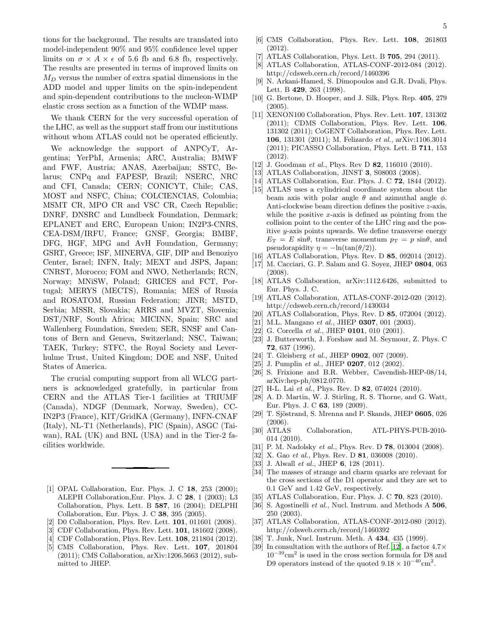tions for the background. The results are translated into model-independent 90% and 95% confidence level upper limits on  $\sigma \times A \times \epsilon$  of 5.6 fb and 6.8 fb, respectively. The results are presented in terms of improved limits on  $M_D$  versus the number of extra spatial dimensions in the ADD model and upper limits on the spin-independent and spin-dependent contributions to the nucleon-WIMP elastic cross section as a function of the WIMP mass.

We thank CERN for the very successful operation of the LHC, as well as the support staff from our institutions without whom ATLAS could not be operated efficiently.

We acknowledge the support of ANPCyT, Argentina; YerPhI, Armenia; ARC, Australia; BMWF and FWF, Austria; ANAS, Azerbaijan; SSTC, Belarus; CNPq and FAPESP, Brazil; NSERC, NRC and CFI, Canada; CERN; CONICYT, Chile; CAS, MOST and NSFC, China; COLCIENCIAS, Colombia; MSMT CR, MPO CR and VSC CR, Czech Republic; DNRF, DNSRC and Lundbeck Foundation, Denmark; EPLANET and ERC, European Union; IN2P3-CNRS, CEA-DSM/IRFU, France; GNSF, Georgia; BMBF, DFG, HGF, MPG and AvH Foundation, Germany; GSRT, Greece; ISF, MINERVA, GIF, DIP and Benoziyo Center, Israel; INFN, Italy; MEXT and JSPS, Japan; CNRST, Morocco; FOM and NWO, Netherlands; RCN, Norway; MNiSW, Poland; GRICES and FCT, Portugal; MERYS (MECTS), Romania; MES of Russia and ROSATOM, Russian Federation; JINR; MSTD, Serbia; MSSR, Slovakia; ARRS and MVZT, Slovenia; DST/NRF, South Africa; MICINN, Spain; SRC and Wallenberg Foundation, Sweden; SER, SNSF and Cantons of Bern and Geneva, Switzerland; NSC, Taiwan; TAEK, Turkey; STFC, the Royal Society and Leverhulme Trust, United Kingdom; DOE and NSF, United States of America.

The crucial computing support from all WLCG partners is acknowledged gratefully, in particular from CERN and the ATLAS Tier-1 facilities at TRIUMF (Canada), NDGF (Denmark, Norway, Sweden), CC-IN2P3 (France), KIT/GridKA (Germany), INFN-CNAF (Italy), NL-T1 (Netherlands), PIC (Spain), ASGC (Taiwan), RAL (UK) and BNL (USA) and in the Tier-2 facilities worldwide.

- <span id="page-5-0"></span>[1] OPAL Collaboration, Eur. Phys. J. C 18, 253 (2000); ALEPH Collaboration,Eur. Phys. J. C 28, 1 (2003); L3 Collaboration, Phys. Lett. B 587, 16 (2004); DELPHI Collaboration, Eur. Phys. J. C 38, 395 (2005).
- [2] D0 Collaboration, Phys. Rev. Lett. 101, 011601 (2008).
- <span id="page-5-33"></span>[3] CDF Collaboration, Phys. Rev. Lett. **101**, 181602 (2008).
- <span id="page-5-36"></span>[4] CDF Collaboration, Phys. Rev. Lett. **108**, 211804 (2012). [5] CMS Collaboration, Phys. Rev. Lett. 107, 201804
- (2011); CMS Collaboration, arXiv:1206.5663 (2012), submitted to JHEP.
- <span id="page-5-34"></span>[6] CMS Collaboration, Phys. Rev. Lett. 108, 261803 (2012).
- <span id="page-5-24"></span>[7] ATLAS Collaboration, Phys. Lett. B **705**, 294 (2011).
- <span id="page-5-1"></span>[8] ATLAS Collaboration, ATLAS-CONF-2012-084 (2012). http://cdsweb.cern.ch/record/1460396
- <span id="page-5-2"></span>[9] N. Arkani-Hamed, S. Dimopoulos and G.R. Dvali, Phys. Lett. B 429, 263 (1998).
- <span id="page-5-3"></span>[10] G. Bertone, D. Hooper, and J. Silk, Phys. Rep. 405, 279 (2005).
- <span id="page-5-4"></span>[11] XENON100 Collaboration, Phys. Rev. Lett. 107, 131302 (2011); CDMS Collaboration, Phys. Rev. Lett. 106, 131302 (2011); CoGENT Collaboration, Phys. Rev. Lett. 106, 131301 (2011); M. Felizardo et al., arXiv:1106.3014 (2011); PICASSO Collaboration, Phys. Lett. B 711, 153 (2012).
- <span id="page-5-5"></span>[12] J. Goodman et al., Phys. Rev D 82, 116010 (2010).
- <span id="page-5-6"></span>[13] ATLAS Collaboration, JINST 3, S08003 (2008).
- <span id="page-5-7"></span>[14] ATLAS Collaboration, Eur. Phys. J. C **72**, 1844 (2012).
- <span id="page-5-8"></span>[15] ATLAS uses a cylindrical coordinate system about the beam axis with polar angle  $\theta$  and azimuthal angle  $\phi$ . Anti-clockwise beam direction defines the positive z-axis, while the positive  $x$ -axis is defined as pointing from the collision point to the center of the LHC ring and the positive y-axis points upwards. We define transverse energy  $E_T = E \sin\theta$ , transverse momentum  $p_T = p \sin\theta$ , and pseudorapidity  $\eta = -\ln(\tan(\theta/2))$ .
- <span id="page-5-9"></span>[16] ATLAS Collaboration, Phys. Rev. D **85**, 092014 (2012).
- <span id="page-5-10"></span>[17] M. Cacciari, G. P. Salam and G. Soyez, JHEP 0804, 063 (2008).
- <span id="page-5-11"></span>[18] ATLAS Collaboration, arXiv:1112.6426, submitted to Eur. Phys. J. C.
- <span id="page-5-12"></span>[19] ATLAS Collaboration, ATLAS-CONF-2012-020 (2012). http://cdsweb.cern.ch/record/1430034
- <span id="page-5-13"></span>[20] ATLAS Collaboration, Phys. Rev. D 85, 072004 (2012).
- <span id="page-5-14"></span>[21] M.L. Mangano et al., JHEP **0307**, 001 (2003).
- <span id="page-5-15"></span>[22] G. Corcella *et al.*, JHEP **0101**, 010 (2001).
- <span id="page-5-16"></span>[23] J. Butterworth, J. Forshaw and M. Seymour, Z. Phys. C 72, 637 (1996).
- <span id="page-5-17"></span>[24] T. Gleisberg *et al.*, JHEP **0902**, 007 (2009).
- <span id="page-5-18"></span>[25] J. Pumplin et al., JHEP  $0207$ ,  $012$  (2002).
- <span id="page-5-19"></span>[26] S. Frixione and B.R. Webber, Cavendish-HEP-08/14, arXiv:hep-ph/0812.0770.
- <span id="page-5-20"></span>[27] H-L. Lai et al., Phys. Rev. D 82, 074024 (2010).
- <span id="page-5-21"></span>[28] A. D. Martin, W. J. Stirling, R. S. Thorne, and G. Watt, Eur. Phys. J. C 63, 189 (2009).
- <span id="page-5-22"></span>[29] T. Sjöstrand, S. Mrenna and P. Skands, JHEP  $0605$ , 026 (2006).
- <span id="page-5-23"></span>[30] ATLAS Collaboration, ATL-PHYS-PUB-2010- 014 (2010).
- <span id="page-5-25"></span>[31] P. M. Nadolsky et al., Phys. Rev. D 78, 013004 (2008).
- <span id="page-5-26"></span>[32] X. Gao et al., Phys. Rev. D 81, 036008 (2010).
- <span id="page-5-27"></span>[33] J. Alwall et al., JHEP 6, 128 (2011).
- <span id="page-5-28"></span>[34] The masses of strange and charm quarks are relevant for the cross sections of the D1 operator and they are set to 0.1 GeV and 1.42 GeV, respectively.
- <span id="page-5-29"></span>[35] ATLAS Collaboration, Eur. Phys. J. C **70**, 823 (2010).
- <span id="page-5-30"></span>[36] S. Agostinelli et al., Nucl. Instrum. and Methods A 506, 250 (2003).
- <span id="page-5-31"></span>[37] ATLAS Collaboration, ATLAS-CONF-2012-080 (2012). http://cdsweb.cern.ch/record/1460392
- <span id="page-5-32"></span>[38] T. Junk, Nucl. Instrum. Meth. A 434, 435 (1999).
- <span id="page-5-35"></span>[39] In consultation with the authors of Ref. [\[12\]](#page-5-5), a factor  $4.7\times$ 10<sup>−</sup><sup>39</sup>cm<sup>2</sup> is used in the cross section formula for D8 and D9 operators instead of the quoted  $9.18 \times 10^{-40}$  cm<sup>2</sup>.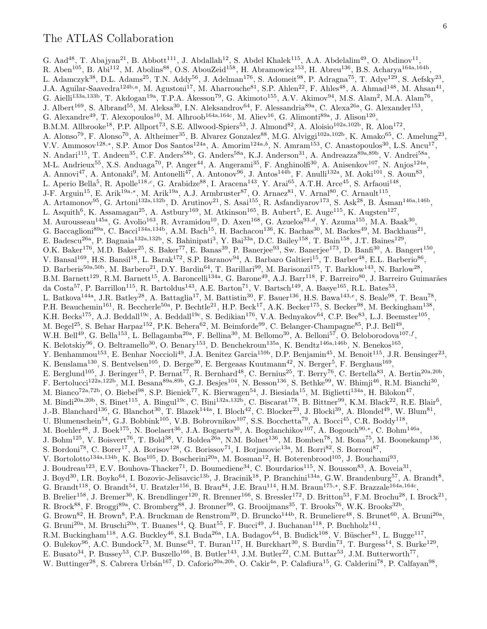G. Aad<sup>48</sup>, T. Abajyan<sup>21</sup>, B. Abbott<sup>111</sup>, J. Abdallah<sup>12</sup>, S. Abdel Khalek<sup>115</sup>, A.A. Abdelalim<sup>49</sup>, O. Abdinov<sup>11</sup>, R. Aben<sup>105</sup>, B. Abi<sup>112</sup>, M. Abolins<sup>88</sup>, O.S. AbouZeid<sup>158</sup>, H. Abramowicz<sup>153</sup>, H. Abreu<sup>136</sup>, B.S. Acharya<sup>164a,164b</sup>, L. Adamczyk<sup>38</sup>, D.L. Adams<sup>25</sup>, T.N. Addy<sup>56</sup>, J. Adelman<sup>176</sup>, S. Adomeit<sup>98</sup>, P. Adragna<sup>75</sup>, T. Adye<sup>129</sup>, S. Aefsky<sup>23</sup>, J.A. Aguilar-Saavedra<sup>124b,a</sup>, M. Agustoni<sup>17</sup>, M. Aharrouche<sup>81</sup>, S.P. Ahlen<sup>22</sup>, F. Ahles<sup>48</sup>, A. Ahmad<sup>148</sup>, M. Ahsan<sup>41</sup>, G. Aielli<sup>133a,133b</sup>, T. Akdogan<sup>19a</sup>, T.P.A. Åkesson<sup>79</sup>, G. Akimoto<sup>155</sup>, A.V. Akimov<sup>94</sup>, M.S. Alam<sup>2</sup>, M.A. Alam<sup>76</sup>, J. Albert<sup>169</sup>, S. Albrand<sup>55</sup>, M. Aleksa<sup>30</sup>, I.N. Aleksandrov<sup>64</sup>, F. Alessandria<sup>89a</sup>, C. Alexa<sup>26a</sup>, G. Alexander<sup>153</sup>, G. Alexandre<sup>49</sup>, T. Alexopoulos<sup>10</sup>, M. Alhroob<sup>164a,164c</sup>, M. Aliev<sup>16</sup>, G. Alimonti<sup>89a</sup>, J. Alison<sup>120</sup>, B.M.M. Allbrooke<sup>18</sup>, P.P. Allport<sup>73</sup>, S.E. Allwood-Spiers<sup>53</sup>, J. Almond<sup>82</sup>, A. Aloisio<sup>102a,102b</sup>, R. Alon<sup>172</sup>, A. Alonso<sup>79</sup>, F. Alonso<sup>70</sup>, A. Altheimer<sup>35</sup>, B. Alvarez Gonzalez<sup>88</sup>, M.G. Alviggi<sup>102a,102b</sup>, K. Amako<sup>65</sup>, C. Amelung<sup>23</sup>, V.V. Ammosov<sup>128,\*</sup>, S.P. Amor Dos Santos<sup>124a</sup>, A. Amorim<sup>124a,b</sup>, N. Amram<sup>153</sup>, C. Anastopoulos<sup>30</sup>, L.S. Ancu<sup>17</sup>, N. Andari<sup>115</sup>, T. Andeen<sup>35</sup>, C.F. Anders<sup>58b</sup>, G. Anders<sup>58a</sup>, K.J. Anderson<sup>31</sup>, A. Andreazza<sup>89a,89b</sup>, V. Andrei<sup>58a</sup>, M-L. Andrieux<sup>55</sup>, X.S. Anduaga<sup>70</sup>, P. Anger<sup>44</sup>, A. Angerami<sup>35</sup>, F. Anghinolfi<sup>30</sup>, A. Anisenkov<sup>107</sup>, N. Anjos<sup>124a</sup>, A. Annovi<sup>47</sup>, A. Antonaki<sup>9</sup>, M. Antonelli<sup>47</sup>, A. Antonov<sup>96</sup>, J. Antos<sup>144b</sup>, F. Anulli<sup>132a</sup>, M. Aoki<sup>101</sup>, S. Aoun<sup>83</sup>, L. Aperio Bella<sup>5</sup>, R. Apolle<sup>118,c</sup>, G. Arabidze<sup>88</sup>, I. Aracena<sup>143</sup>, Y. Arai<sup>65</sup>, A.T.H. Arce<sup>45</sup>, S. Arfaoui<sup>148</sup>, J-F. Arguin<sup>15</sup>, E. Arik<sup>19a,\*</sup>, M. Arik<sup>19a</sup>, A.J. Armbruster<sup>87</sup>, O. Arnaez<sup>81</sup>, V. Arnal<sup>80</sup>, C. Arnault<sup>115</sup>, A. Artamonov<sup>95</sup>, G. Artoni<sup>132a,132b</sup>, D. Arutinov<sup>21</sup>, S. Asai<sup>155</sup>, R. Asfandiyarov<sup>173</sup>, S. Ask<sup>28</sup>, B. Åsman<sup>146a,146b</sup>, L. Asquith<sup>6</sup>, K. Assamagan<sup>25</sup>, A. Astbury<sup>169</sup>, M. Atkinson<sup>165</sup>, B. Aubert<sup>5</sup>, E. Auge<sup>115</sup>, K. Augsten<sup>127</sup>, M. Aurousseau<sup>145a</sup>, G. Avolio<sup>163</sup>, R. Avramidou<sup>10</sup>, D. Axen<sup>168</sup>, G. Azuelos<sup>93,d</sup>, Y. Azuma<sup>155</sup>, M.A. Baak<sup>30</sup>, G. Baccaglioni<sup>89a</sup>, C. Bacci<sup>134a,134b</sup>, A.M. Bach<sup>15</sup>, H. Bachacou<sup>136</sup>, K. Bachas<sup>30</sup>, M. Backes<sup>49</sup>, M. Backhaus<sup>21</sup>, E. Badescu<sup>26a</sup>, P. Bagnaia<sup>132a,132b</sup>, S. Bahinipati<sup>3</sup>, Y. Bai<sup>33a</sup>, D.C. Bailey<sup>158</sup>, T. Bain<sup>158</sup>, J.T. Baines<sup>129</sup>, O.K. Baker<sup>176</sup>, M.D. Baker<sup>25</sup>, S. Baker<sup>77</sup>, E. Banas<sup>39</sup>, P. Banerjee<sup>93</sup>, Sw. Banerjee<sup>173</sup>, D. Banfi<sup>30</sup>, A. Bangert<sup>150</sup>, V. Bansal<sup>169</sup>, H.S. Bansil<sup>18</sup>, L. Barak<sup>172</sup>, S.P. Baranov<sup>94</sup>, A. Barbaro Galtieri<sup>15</sup>, T. Barber<sup>48</sup>, E.L. Barberio<sup>86</sup>, D. Barberis<sup>50a,50b</sup>, M. Barbero<sup>21</sup>, D.Y. Bardin<sup>64</sup>, T. Barillari<sup>99</sup>, M. Barisonzi<sup>175</sup>, T. Barklow<sup>143</sup>, N. Barlow<sup>28</sup>, B.M. Barnett<sup>129</sup>, R.M. Barnett<sup>15</sup>, A. Baroncelli<sup>134a</sup>, G. Barone<sup>49</sup>, A.J. Barr<sup>118</sup>, F. Barreiro<sup>80</sup>, J. Barreiro Guimarães da Costa<sup>57</sup>, P. Barrillon<sup>115</sup>, R. Bartoldus<sup>143</sup>, A.E. Barton<sup>71</sup>, V. Bartsch<sup>149</sup>, A. Basye<sup>165</sup>, R.L. Bates<sup>53</sup>, L. Batkova<sup>144a</sup>, J.R. Batley<sup>28</sup>, A. Battaglia<sup>17</sup>, M. Battistin<sup>30</sup>, F. Bauer<sup>136</sup>, H.S. Bawa<sup>143,e</sup>, S. Beale<sup>98</sup>, T. Beau<sup>78</sup>, P.H. Beauchemin<sup>161</sup>, R. Beccherle<sup>50a</sup>, P. Bechtle<sup>21</sup>, H.P. Beck<sup>17</sup>, A.K. Becker<sup>175</sup>, S. Becker<sup>98</sup>, M. Beckingham<sup>138</sup>, K.H. Becks<sup>175</sup>, A.J. Beddall<sup>19c</sup>, A. Beddall<sup>19c</sup>, S. Bedikian<sup>176</sup>, V.A. Bednyakov<sup>64</sup>, C.P. Bee<sup>83</sup>, L.J. Beemster<sup>105</sup>, M. Begel<sup>25</sup>, S. Behar Harpaz<sup>152</sup>, P.K. Behera<sup>62</sup>, M. Beimforde<sup>99</sup>, C. Belanger-Champagne<sup>85</sup>, P.J. Bell<sup>49</sup>, W.H. Bell<sup>49</sup>, G. Bella<sup>153</sup>, L. Bellagamba<sup>20a</sup>, F. Bellina<sup>30</sup>, M. Bellomo<sup>30</sup>, A. Belloni<sup>57</sup>, O. Beloborodova<sup>107,f</sup>, K. Belotskiy<sup>96</sup>, O. Beltramello<sup>30</sup>, O. Benary<sup>153</sup>, D. Benchekroun<sup>135a</sup>, K. Bendtz<sup>146a,146b</sup>, N. Benekos<sup>165</sup>, Y. Benhammou<sup>153</sup>, E. Benhar Noccioli<sup>49</sup>, J.A. Benitez Garcia<sup>159b</sup>, D.P. Benjamin<sup>45</sup>, M. Benoit<sup>115</sup>, J.R. Bensinger<sup>23</sup>, K. Benslama<sup>130</sup>, S. Bentvelsen<sup>105</sup>, D. Berge<sup>30</sup>, E. Bergeaas Kuutmann<sup>42</sup>, N. Berger<sup>5</sup>, F. Berghaus<sup>169</sup>, E. Berglund<sup>105</sup>, J. Beringer<sup>15</sup>, P. Bernat<sup>77</sup>, R. Bernhard<sup>48</sup>, C. Bernius<sup>25</sup>, T. Berry<sup>76</sup>, C. Bertella<sup>83</sup>, A. Bertin<sup>20a,20b</sup>, F. Bertolucci<sup>122a,122b</sup>, M.I. Besana<sup>89a,89b</sup>, G.J. Besjes<sup>104</sup>, N. Besson<sup>136</sup>, S. Bethke<sup>99</sup>, W. Bhimji<sup>46</sup>, R.M. Bianchi<sup>30</sup>, M. Bianco<sup>72a,72b</sup>, O. Biebel<sup>98</sup>, S.P. Bieniek<sup>77</sup>, K. Bierwagen<sup>54</sup>, J. Biesiada<sup>15</sup>, M. Biglietti<sup>134a</sup>, H. Bilokon<sup>47</sup>, M. Bindi<sup>20a,20b</sup>, S. Binet<sup>115</sup>, A. Bingul<sup>19c</sup>, C. Bini<sup>132a,132b</sup>, C. Biscarat<sup>178</sup>, B. Bittner<sup>99</sup>, K.M. Black<sup>22</sup>, R.E. Blair<sup>6</sup>, J.-B. Blanchard<sup>136</sup>, G. Blanchot<sup>30</sup>, T. Blazek<sup>144a</sup>, I. Bloch<sup>42</sup>, C. Blocker<sup>23</sup>, J. Blocki<sup>39</sup>, A. Blondel<sup>49</sup>, W. Blum<sup>81</sup>, U. Blumenschein<sup>54</sup>, G.J. Bobbink<sup>105</sup>, V.B. Bobrovnikov<sup>107</sup>, S.S. Bocchetta<sup>79</sup>, A. Bocci<sup>45</sup>, C.R. Boddy<sup>118</sup>, M. Boehler<sup>48</sup>, J. Boek<sup>175</sup>, N. Boelaert<sup>36</sup>, J.A. Bogaerts<sup>30</sup>, A. Bogdanchikov<sup>107</sup>, A. Bogouch<sup>90,\*</sup>, C. Bohm<sup>146a</sup>, J. Bohm<sup>125</sup>, V. Boisvert<sup>76</sup>, T. Bold<sup>38</sup>, V. Boldea<sup>26a</sup>, N.M. Bolnet<sup>136</sup>, M. Bomben<sup>78</sup>, M. Bona<sup>75</sup>, M. Boonekamp<sup>136</sup>, S. Bordoni<sup>78</sup>, C. Borer<sup>17</sup>, A. Borisov<sup>128</sup>, G. Borissov<sup>71</sup>, I. Borjanovic<sup>13a</sup>, M. Borri<sup>82</sup>, S. Borroni<sup>87</sup>, V. Bortolotto<sup>134a,134b</sup>, K. Bos<sup>105</sup>, D. Boscherini<sup>20a</sup>, M. Bosman<sup>12</sup>, H. Boterenbrood<sup>105</sup>, J. Bouchami<sup>93</sup>, J. Boudreau<sup>123</sup>, E.V. Bouhova-Thacker<sup>71</sup>, D. Boumediene<sup>34</sup>, C. Bourdarios<sup>115</sup>, N. Bousson<sup>83</sup>, A. Boveia<sup>31</sup>, J. Boyd<sup>30</sup>, I.R. Boyko<sup>64</sup>, I. Bozovic-Jelisavcic<sup>13b</sup>, J. Bracinik<sup>18</sup>, P. Branchini<sup>134a</sup>, G.W. Brandenburg<sup>57</sup>, A. Brandt<sup>8</sup>, G. Brandt<sup>118</sup>, O. Brandt<sup>54</sup>, U. Bratzler<sup>156</sup>, B. Brau<sup>84</sup>, J.E. Brau<sup>114</sup>, H.M. Braun<sup>175,\*</sup>, S.F. Brazzale<sup>164a,164c</sup>, B. Brelier<sup>158</sup>, J. Bremer<sup>30</sup>, K. Brendlinger<sup>120</sup>, R. Brenner<sup>166</sup>, S. Bressler<sup>172</sup>, D. Britton<sup>53</sup>, F.M. Brochu<sup>28</sup>, I. Brock<sup>21</sup>, R. Brock $^{88}$ , F. Broggi $^{89a}$ , C. Bromberg $^{88}$ , J. Bronner $^{99}$ , G. Brooijmans $^{35}$ , T. Brooks $^{76}$ , W.K. Brooks $^{32b}$ , G. Brown<sup>82</sup>, H. Brown<sup>8</sup>, P.A. Bruckman de Renstrom<sup>39</sup>, D. Bruncko<sup>144b</sup>, R. Bruneliere<sup>48</sup>, S. Brunet<sup>60</sup>, A. Bruni<sup>20a</sup>, G. Bruni<sup>20a</sup>, M. Bruschi<sup>20a</sup>, T. Buanes<sup>14</sup>, Q. Buat<sup>55</sup>, F. Bucci<sup>49</sup>, J. Buchanan<sup>118</sup>, P. Buchholz<sup>141</sup>, R.M. Buckingham<sup>118</sup>, A.G. Buckley<sup>46</sup>, S.I. Buda<sup>26a</sup>, I.A. Budagov<sup>64</sup>, B. Budick<sup>108</sup>, V. Büscher<sup>81</sup>, L. Bugge<sup>117</sup>, O. Bulekov<sup>96</sup>, A.C. Bundock<sup>73</sup>, M. Bunse<sup>43</sup>, T. Buran<sup>117</sup>, H. Burckhart<sup>30</sup>, S. Burdin<sup>73</sup>, T. Burgess<sup>14</sup>, S. Burke<sup>129</sup>, E. Busato<sup>34</sup>, P. Bussey<sup>53</sup>, C.P. Buszello<sup>166</sup>, B. Butler<sup>143</sup>, J.M. Butler<sup>22</sup>, C.M. Buttar<sup>53</sup>, J.M. Butterworth<sup>77</sup>, W. Buttinger<sup>28</sup>, S. Cabrera Urbán<sup>167</sup>, D. Caforio<sup>20a, 20b</sup>, O. Cakir<sup>4a</sup>, P. Calafiura<sup>15</sup>, G. Calderini<sup>78</sup>, P. Calfayan<sup>98</sup>,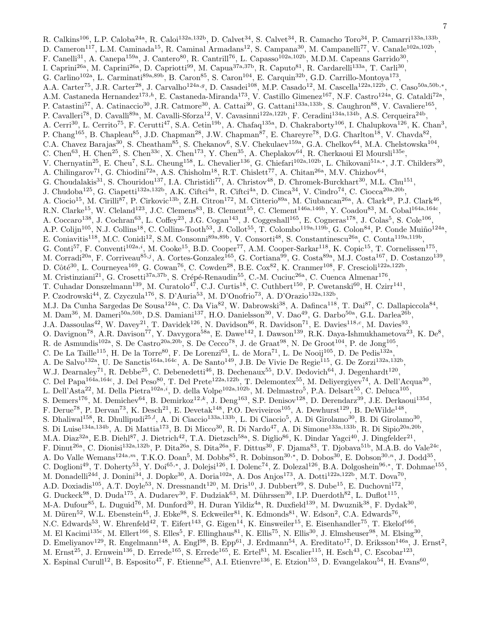R. Calkins<sup>106</sup>, L.P. Caloba<sup>24a</sup>, R. Caloi<sup>132a,132b</sup>, D. Calvet<sup>34</sup>, S. Calvet<sup>34</sup>, R. Camacho Toro<sup>34</sup>, P. Camarri<sup>133a,133b</sup>, D. Cameron<sup>117</sup>, L.M. Caminada<sup>15</sup>, R. Caminal Armadans<sup>12</sup>, S. Campana<sup>30</sup>, M. Campanelli<sup>77</sup>, V. Canale<sup>102a,102b</sup>, F. Canelli<sup>31</sup>, A. Canepa<sup>159a</sup>, J. Cantero<sup>80</sup>, R. Cantrill<sup>76</sup>, L. Capasso<sup>102a,102b</sup>, M.D.M. Capeans Garrido<sup>30</sup>, I. Caprini<sup>26a</sup>, M. Caprini<sup>26a</sup>, D. Capriotti<sup>99</sup>, M. Capua<sup>37a,37b</sup>, R. Caputo<sup>81</sup>, R. Cardarelli<sup>133a</sup>, T. Carli<sup>30</sup>, G. Carlino<sup>102a</sup>, L. Carminati<sup>89a,89b</sup>, B. Caron<sup>85</sup>, S. Caron<sup>104</sup>, E. Carquin<sup>32b</sup>, G.D. Carrillo-Montoya<sup>173</sup>, A.A. Carter<sup>75</sup>, J.R. Carter<sup>28</sup>, J. Carvalho<sup>124a,g</sup>, D. Casadei<sup>108</sup>, M.P. Casado<sup>12</sup>, M. Cascella<sup>122a,122b</sup>, C. Caso<sup>50a,50b,\*</sup>, A.M. Castaneda Hernandez<sup>173,h</sup>, E. Castaneda-Miranda<sup>173</sup>, V. Castillo Gimenez<sup>167</sup>, N.F. Castro<sup>124a</sup>, G. Cataldi<sup>72a</sup>, P. Catastini<sup>57</sup>, A. Catinaccio<sup>30</sup>, J.R. Catmore<sup>30</sup>, A. Cattai<sup>30</sup>, G. Cattani<sup>133a,133b</sup>, S. Caughron<sup>88</sup>, V. Cavaliere<sup>165</sup>, P. Cavalleri<sup>78</sup>, D. Cavalli<sup>89a</sup>, M. Cavalli-Sforza<sup>12</sup>, V. Cavasinni<sup>122a,122b</sup>, F. Ceradini<sup>134a,134b</sup>, A.S. Cerqueira<sup>24b</sup>, A. Cerri<sup>30</sup>, L. Cerrito<sup>75</sup>, F. Cerutti<sup>47</sup>, S.A. Cetin<sup>19b</sup>, A. Chafaq<sup>135a</sup>, D. Chakraborty<sup>106</sup>, I. Chalupkova<sup>126</sup>, K. Chan<sup>3</sup>, P. Chang<sup>165</sup>, B. Chapleau<sup>85</sup>, J.D. Chapman<sup>28</sup>, J.W. Chapman<sup>87</sup>, E. Chareyre<sup>78</sup>, D.G. Charlton<sup>18</sup>, V. Chavda<sup>82</sup>, C.A. Chavez Barajas<sup>30</sup>, S. Cheatham<sup>85</sup>, S. Chekanov<sup>6</sup>, S.V. Chekulaev<sup>159a</sup>, G.A. Chelkov<sup>64</sup>, M.A. Chelstowska<sup>104</sup>, C. Chen<sup>63</sup>, H. Chen<sup>25</sup>, S. Chen<sup>33c</sup>, X. Chen<sup>173</sup>, Y. Chen<sup>35</sup>, A. Cheplakov<sup>64</sup>, R. Cherkaoui El Moursli<sup>135e</sup>, V. Chernyatin<sup>25</sup>, E. Cheu<sup>7</sup>, S.L. Cheung<sup>158</sup>, L. Chevalier<sup>136</sup>, G. Chiefari<sup>102a,102b</sup>, L. Chikovani<sup>51a,\*</sup>, J.T. Childers<sup>30</sup>, A. Chilingarov<sup>71</sup>, G. Chiodini<sup>72a</sup>, A.S. Chisholm<sup>18</sup>, R.T. Chislett<sup>77</sup>, A. Chitan<sup>26a</sup>, M.V. Chizhov<sup>64</sup>, G. Choudalakis<sup>31</sup>, S. Chouridou<sup>137</sup>, I.A. Christidi<sup>77</sup>, A. Christov<sup>48</sup>, D. Chromek-Burckhart<sup>30</sup>, M.L. Chu<sup>151</sup>, J. Chudoba<sup>125</sup>, G. Ciapetti<sup>132a,132b</sup>, A.K. Ciftci<sup>4a</sup>, R. Ciftci<sup>4a</sup>, D. Cinca<sup>34</sup>, V. Cindro<sup>74</sup>, C. Ciocca<sup>20a,20b</sup>, A. Ciocio<sup>15</sup>, M. Cirilli<sup>87</sup>, P. Cirkovic<sup>13b</sup>, Z.H. Citron<sup>172</sup>, M. Citterio<sup>89a</sup>, M. Ciubancan<sup>26a</sup>, A. Clark<sup>49</sup>, P.J. Clark<sup>46</sup>, R.N. Clarke<sup>15</sup>, W. Cleland<sup>123</sup>, J.C. Clemens<sup>83</sup>, B. Clement<sup>55</sup>, C. Clement<sup>146a,146b</sup>, Y. Coadou<sup>83</sup>, M. Cobal<sup>164a,164c</sup>, A. Coccaro<sup>138</sup>, J. Cochran<sup>63</sup>, L. Coffey<sup>23</sup>, J.G. Cogan<sup>143</sup>, J. Coggeshall<sup>165</sup>, E. Cogneras<sup>178</sup>, J. Colas<sup>5</sup>, S. Cole<sup>106</sup>, A.P. Colijn<sup>105</sup>, N.J. Collins<sup>18</sup>, C. Collins-Tooth<sup>53</sup>, J. Collot<sup>55</sup>, T. Colombo<sup>119a,119b</sup>, G. Colon<sup>84</sup>, P. Conde Muiño<sup>124a</sup>, E. Coniavitis<sup>118</sup>, M.C. Conidi<sup>12</sup>, S.M. Consonni<sup>89a,89b</sup>, V. Consorti<sup>48</sup>, S. Constantinescu<sup>26a</sup>, C. Conta<sup>119a,119b</sup>, G. Conti<sup>57</sup>, F. Conventi<sup>102a,i</sup>, M. Cooke<sup>15</sup>, B.D. Cooper<sup>77</sup>, A.M. Cooper-Sarkar<sup>118</sup>, K. Copic<sup>15</sup>, T. Cornelissen<sup>175</sup>, M. Corradi<sup>20a</sup>, F. Corriveau<sup>85,j</sup>, A. Cortes-Gonzalez<sup>165</sup>, G. Cortiana<sup>99</sup>, G. Costa<sup>89a</sup>, M.J. Costa<sup>167</sup>, D. Costanzo<sup>139</sup>, D. Côté<sup>30</sup>, L. Courneyea<sup>169</sup>, G. Cowan<sup>76</sup>, C. Cowden<sup>28</sup>, B.E. Cox<sup>82</sup>, K. Cranmer<sup>108</sup>, F. Crescioli<sup>122a,122b</sup>, M. Cristinziani<sup>21</sup>, G. Crosetti<sup>37a,37b</sup>, S. Crépé-Renaudin<sup>55</sup>, C.-M. Cuciuc<sup>26a</sup>, C. Cuenca Almenar<sup>176</sup>, T. Cuhadar Donszelmann<sup>139</sup>, M. Curatolo<sup>47</sup>, C.J. Curtis<sup>18</sup>, C. Cuthbert<sup>150</sup>, P. Cwetanski<sup>60</sup>, H. Czirr<sup>141</sup>, P. Czodrowski<sup>44</sup>, Z. Czyczula<sup>176</sup>, S. D'Auria<sup>53</sup>, M. D'Onofrio<sup>73</sup>, A. D'Orazio<sup>132a,132b</sup>, M.J. Da Cunha Sargedas De Sousa<sup>124a</sup>, C. Da Via<sup>82</sup>, W. Dabrowski<sup>38</sup>, A. Dafinca<sup>118</sup>, T. Dai<sup>87</sup>, C. Dallapiccola<sup>84</sup>, M. Dam<sup>36</sup>, M. Dameri<sup>50a,50b</sup>, D.S. Damiani<sup>137</sup>, H.O. Danielsson<sup>30</sup>, V. Dao<sup>49</sup>, G. Darbo<sup>50a</sup>, G.L. Darlea<sup>26b</sup>, J.A. Dassoulas<sup>42</sup>, W. Davey<sup>21</sup>, T. Davidek<sup>126</sup>, N. Davidson<sup>86</sup>, R. Davidson<sup>71</sup>, E. Davies<sup>118,c</sup>, M. Davies<sup>93</sup>, O. Davignon<sup>78</sup>, A.R. Davison<sup>77</sup>, Y. Davygora<sup>58a</sup>, E. Dawe<sup>142</sup>, I. Dawson<sup>139</sup>, R.K. Daya-Ishmukhametova<sup>23</sup>, K. De<sup>8</sup>, R. de Asmundis<sup>102a</sup>, S. De Castro<sup>20a, 20b</sup>, S. De Cecco<sup>78</sup>, J. de Graat<sup>98</sup>, N. De Groot<sup>104</sup>, P. de Jong<sup>105</sup>, C. De La Taille<sup>115</sup>, H. De la Torre<sup>80</sup>, F. De Lorenzi<sup>63</sup>, L. de Mora<sup>71</sup>, L. De Nooij<sup>105</sup>, D. De Pedis<sup>132a</sup>, A. De Salvo<sup>132a</sup>, U. De Sanctis<sup>164a,164c</sup>, A. De Santo<sup>149</sup>, J.B. De Vivie De Regie<sup>115</sup>, G. De Zorzi<sup>132a,132b</sup>, W.J. Dearnaley<sup>71</sup>, R. Debbe<sup>25</sup>, C. Debenedetti<sup>46</sup>, B. Dechenaux<sup>55</sup>, D.V. Dedovich<sup>64</sup>, J. Degenhardt<sup>120</sup>, C. Del Papa<sup>164a,164c</sup>, J. Del Peso<sup>80</sup>, T. Del Prete<sup>122a,122b</sup>, T. Delemontex<sup>55</sup>, M. Deliyergiyev<sup>74</sup>, A. Dell'Acqua<sup>30</sup>, L. Dell'Asta<sup>22</sup>, M. Della Pietra<sup>102a,i</sup>, D. della Volpe<sup>102a,102b</sup>, M. Delmastro<sup>5</sup>, P.A. Delsart<sup>55</sup>, C. Deluca<sup>105</sup>, S. Demers<sup>176</sup>, M. Demichev<sup>64</sup>, B. Demirkoz<sup>12,k</sup>, J. Deng<sup>163</sup>, S.P. Denisov<sup>128</sup>, D. Derendarz<sup>39</sup>, J.E. Derkaoui<sup>135d</sup>, F. Derue<sup>78</sup>, P. Dervan<sup>73</sup>, K. Desch<sup>21</sup>, E. Devetak<sup>148</sup>, P.O. Deviveiros<sup>105</sup>, A. Dewhurst<sup>129</sup>, B. DeWilde<sup>148</sup>, S. Dhaliwal<sup>158</sup>, R. Dhullipudi<sup>25,*l*</sup>, A. Di Ciaccio<sup>133a,133b</sup>, L. Di Ciaccio<sup>5</sup>, A. Di Girolamo<sup>30</sup>, B. Di Girolamo<sup>30</sup>, S. Di Luise<sup>134a,134b</sup>, A. Di Mattia<sup>173</sup>, B. Di Micco<sup>30</sup>, R. Di Nardo<sup>47</sup>, A. Di Simone<sup>133a,133b</sup>, R. Di Sipio<sup>20a,20b</sup>, M.A. Diaz<sup>32a</sup>, E.B. Diehl<sup>87</sup>, J. Dietrich<sup>42</sup>, T.A. Dietzsch<sup>58a</sup>, S. Diglio<sup>86</sup>, K. Dindar Yagci<sup>40</sup>, J. Dingfelder<sup>21</sup>, F. Dinut<sup>26a</sup>, C. Dionisi<sup>132a,132b</sup>, P. Dita<sup>26a</sup>, S. Dita<sup>26a</sup>, F. Dittus<sup>30</sup>, F. Djama<sup>83</sup>, T. Djobava<sup>51b</sup>, M.A.B. do Vale<sup>24c</sup>, A. Do Valle Wemans<sup>124a,m</sup>, T.K.O. Doan<sup>5</sup>, M. Dobbs<sup>85</sup>, R. Dobinson<sup>30,\*</sup>, D. Dobos<sup>30</sup>, E. Dobson<sup>30,n</sup>, J. Dodd<sup>35</sup>, C. Doglioni<sup>49</sup>, T. Doherty<sup>53</sup>, Y. Doi<sup>65,\*</sup>, J. Dolejsi<sup>126</sup>, I. Dolenc<sup>74</sup>, Z. Dolezal<sup>126</sup>, B.A. Dolgoshein<sup>96,\*</sup>, T. Dohmae<sup>155</sup>, M. Donadelli<sup>24d</sup>, J. Donini<sup>34</sup>, J. Dopke<sup>30</sup>, A. Doria<sup>102a</sup>, A. Dos Anjos<sup>173</sup>, A. Dotti<sup>122a,122b</sup>, M.T. Dova<sup>70</sup>, A.D. Doxiadis<sup>105</sup>, A.T. Doyle<sup>53</sup>, N. Dressnandt<sup>120</sup>, M. Dris<sup>10</sup>, J. Dubbert<sup>99</sup>, S. Dube<sup>15</sup>, E. Duchovni<sup>172</sup>, G. Duckeck<sup>98</sup>, D. Duda<sup>175</sup>, A. Dudarev<sup>30</sup>, F. Dudziak<sup>63</sup>, M. Dührssen<sup>30</sup>, I.P. Duerdoth<sup>82</sup>, L. Duflot<sup>115</sup>, M-A. Dufour<sup>85</sup>, L. Duguid<sup>76</sup>, M. Dunford<sup>30</sup>, H. Duran Yildiz<sup>4a</sup>, R. Duxfield<sup>139</sup>, M. Dwuznik<sup>38</sup>, F. Dydak<sup>30</sup>, M. Düren<sup>52</sup>, W.L. Ebenstein<sup>45</sup>, J. Ebke<sup>98</sup>, S. Eckweiler<sup>81</sup>, K. Edmonds<sup>81</sup>, W. Edson<sup>2</sup>, C.A. Edwards<sup>76</sup>, N.C. Edwards<sup>53</sup>, W. Ehrenfeld<sup>42</sup>, T. Eifert<sup>143</sup>, G. Eigen<sup>14</sup>, K. Einsweiler<sup>15</sup>, E. Eisenhandler<sup>75</sup>, T. Ekelof<sup>166</sup>, M. El Kacimi<sup>135c</sup>, M. Ellert<sup>166</sup>, S. Elles<sup>5</sup>, F. Ellinghaus<sup>81</sup>, K. Ellis<sup>75</sup>, N. Ellis<sup>30</sup>, J. Elmsheuser<sup>98</sup>, M. Elsing<sup>30</sup>, D. Emeliyanov<sup>129</sup>, R. Engelmann<sup>148</sup>, A. Engl<sup>98</sup>, B. Epp<sup>61</sup>, J. Erdmann<sup>54</sup>, A. Ereditato<sup>17</sup>, D. Eriksson<sup>146a</sup>, J. Ernst<sup>2</sup>, M. Ernst<sup>25</sup>, J. Ernwein<sup>136</sup>, D. Errede<sup>165</sup>, S. Errede<sup>165</sup>, E. Ertel<sup>81</sup>, M. Escalier<sup>115</sup>, H. Esch<sup>43</sup>, C. Escobar<sup>123</sup>, X. Espinal Curull<sup>12</sup>, B. Esposito<sup>47</sup>, F. Etienne<sup>83</sup>, A.I. Etienvre<sup>136</sup>, E. Etzion<sup>153</sup>, D. Evangelakou<sup>54</sup>, H. Evans<sup>60</sup>,

7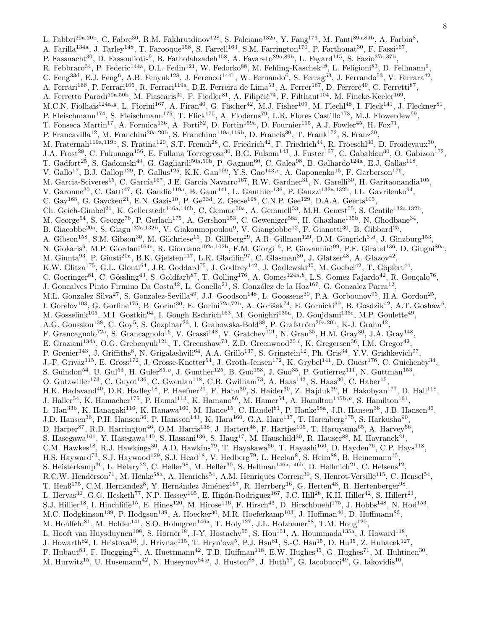L. Fabbri<sup>20a,20b</sup>, C. Fabre<sup>30</sup>, R.M. Fakhrutdinov<sup>128</sup>, S. Falciano<sup>132a</sup>, Y. Fang<sup>173</sup>, M. Fanti<sup>89a,89b</sup>, A. Farbin<sup>8</sup>, A. Farilla<sup>134a</sup>, J. Farley<sup>148</sup>, T. Farooque<sup>158</sup>, S. Farrell<sup>163</sup>, S.M. Farrington<sup>170</sup>, P. Farthouat<sup>30</sup>, F. Fassi<sup>167</sup>, P. Fassnacht<sup>30</sup>, D. Fassouliotis<sup>9</sup>, B. Fatholahzadeh<sup>158</sup>, A. Favareto<sup>89a,89b</sup>, L. Fayard<sup>115</sup>, S. Fazio<sup>37a,37b</sup>, R. Febbraro<sup>34</sup>, P. Federic<sup>144a</sup>, O.L. Fedin<sup>121</sup>, W. Fedorko<sup>88</sup>, M. Fehling-Kaschek<sup>48</sup>, L. Feligioni<sup>83</sup>, D. Fellmann<sup>6</sup>, C. Feng<sup>33d</sup>, E.J. Feng<sup>6</sup>, A.B. Fenyuk<sup>128</sup>, J. Ferencei<sup>144b</sup>, W. Fernando<sup>6</sup>, S. Ferrag<sup>53</sup>, J. Ferrando<sup>53</sup>, V. Ferrara<sup>42</sup>, A. Ferrari<sup>166</sup>, P. Ferrari<sup>105</sup>, R. Ferrari<sup>119a</sup>, D.E. Ferreira de Lima<sup>53</sup>, A. Ferrer<sup>167</sup>, D. Ferrere<sup>49</sup>, C. Ferretti<sup>87</sup>, A. Ferretto Parodi<sup>50a,50b</sup>, M. Fiascaris<sup>31</sup>, F. Fiedler<sup>81</sup>, A. Filipčič<sup>74</sup>, F. Filthaut<sup>104</sup>, M. Fincke-Keeler<sup>169</sup>, M.C.N. Fiolhais<sup>124a,g</sup>, L. Fiorini<sup>167</sup>, A. Firan<sup>40</sup>, G. Fischer<sup>42</sup>, M.J. Fisher<sup>109</sup>, M. Flechl<sup>48</sup>, I. Fleck<sup>141</sup>, J. Fleckner<sup>81</sup>, P. Fleischmann<sup>174</sup>, S. Fleischmann<sup>175</sup>, T. Flick<sup>175</sup>, A. Floderus<sup>79</sup>, L.R. Flores Castillo<sup>173</sup>, M.J. Flowerdew<sup>99</sup>, T. Fonseca Martin<sup>17</sup>, A. Formica<sup>136</sup>, A. Forti<sup>82</sup>, D. Fortin<sup>159a</sup>, D. Fournier<sup>115</sup>, A.J. Fowler<sup>45</sup>, H. Fox<sup>71</sup>, P. Francavilla<sup>12</sup>, M. Franchini<sup>20a,20b</sup>, S. Franchino<sup>119a,119b</sup>, D. Francis<sup>30</sup>, T. Frank<sup>172</sup>, S. Franz<sup>30</sup>, M. Fraternali<sup>119a,119b</sup>, S. Fratina<sup>120</sup>, S.T. French<sup>28</sup>, C. Friedrich<sup>42</sup>, F. Friedrich<sup>44</sup>, R. Froeschl<sup>30</sup>, D. Froidevaux<sup>30</sup>, J.A. Frost<sup>28</sup>, C. Fukunaga<sup>156</sup>, E. Fullana Torregrosa<sup>30</sup>, B.G. Fulsom<sup>143</sup>, J. Fuster<sup>167</sup>, C. Gabaldon<sup>30</sup>, O. Gabizon<sup>172</sup>, T. Gadfort<sup>25</sup>, S. Gadomski<sup>49</sup>, G. Gagliardi<sup>50a,50b</sup>, P. Gagnon<sup>60</sup>, C. Galea<sup>98</sup>, B. Galhardo<sup>124a</sup>, E.J. Gallas<sup>118</sup>, V. Gallo<sup>17</sup>, B.J. Gallop<sup>129</sup>, P. Gallus<sup>125</sup>, K.K. Gan<sup>109</sup>, Y.S. Gao<sup>143,e</sup>, A. Gaponenko<sup>15</sup>, F. Garberson<sup>176</sup>, M. Garcia-Sciveres<sup>15</sup>, C. García<sup>167</sup>, J.E. García Navarro<sup>167</sup>, R.W. Gardner<sup>31</sup>, N. Garelli<sup>30</sup>, H. Garitaonandia<sup>105</sup>, V. Garonne<sup>30</sup>, C. Gatti<sup>47</sup>, G. Gaudio<sup>119a</sup>, B. Gaur<sup>141</sup>, L. Gauthier<sup>136</sup>, P. Gauzzi<sup>132a,132b</sup>, I.L. Gavrilenko<sup>94</sup>, C. Gay<sup>168</sup>, G. Gaycken<sup>21</sup>, E.N. Gazis<sup>10</sup>, P. Ge<sup>33d</sup>, Z. Gecse<sup>168</sup>, C.N.P. Gee<sup>129</sup>, D.A.A. Geerts<sup>105</sup>, Ch. Geich-Gimbel<sup>21</sup>, K. Gellerstedt<sup>146a,146b</sup>, C. Gemme<sup>50a</sup>, A. Gemmell<sup>53</sup>, M.H. Genest<sup>55</sup>, S. Gentile<sup>132a,132b</sup>, M. George<sup>54</sup>, S. George<sup>76</sup>, P. Gerlach<sup>175</sup>, A. Gershon<sup>153</sup>, C. Geweniger<sup>58a</sup>, H. Ghazlane<sup>135b</sup>, N. Ghodbane<sup>34</sup>, B. Giacobbe<sup>20a</sup>, S. Giagu<sup>132a,132b</sup>, V. Giakoumopoulou<sup>9</sup>, V. Giangiobbe<sup>12</sup>, F. Gianotti<sup>30</sup>, B. Gibbard<sup>25</sup>, A. Gibson<sup>158</sup>, S.M. Gibson<sup>30</sup>, M. Gilchriese<sup>15</sup>, D. Gillberg<sup>29</sup>, A.R. Gillman<sup>129</sup>, D.M. Gingrich<sup>3,d</sup>, J. Ginzburg<sup>153</sup>, N. Giokaris<sup>9</sup>, M.P. Giordani<sup>164c</sup>, R. Giordano<sup>102a,102b</sup>, F.M. Giorgi<sup>16</sup>, P. Giovannini<sup>99</sup>, P.F. Giraud<sup>136</sup>, D. Giugni<sup>89a</sup>, M. Giunta<sup>93</sup>, P. Giusti<sup>20a</sup>, B.K. Gjelsten<sup>117</sup>, L.K. Gladilin<sup>97</sup>, C. Glasman<sup>80</sup>, J. Glatzer<sup>48</sup>, A. Glazov<sup>42</sup>, K.W. Glitza<sup>175</sup>, G.L. Glonti<sup>64</sup>, J.R. Goddard<sup>75</sup>, J. Godfrey<sup>142</sup>, J. Godlewski<sup>30</sup>, M. Goebel<sup>42</sup>, T. Göpfert<sup>44</sup>, C. Goeringer<sup>81</sup>, C. Gössling<sup>43</sup>, S. Goldfarb<sup>87</sup>, T. Golling<sup>176</sup>, A. Gomes<sup>124a,b</sup>, L.S. Gomez Fajardo<sup>42</sup>, R. Gonçalo<sup>76</sup>, J. Goncalves Pinto Firmino Da Costa<sup>42</sup>, L. Gonella<sup>21</sup>, S. González de la Hoz<sup>167</sup>, G. Gonzalez Parra<sup>12</sup>, M.L. Gonzalez Silva<sup>27</sup>, S. Gonzalez-Sevilla<sup>49</sup>, J.J. Goodson<sup>148</sup>, L. Goossens<sup>30</sup>, P.A. Gorbounov<sup>95</sup>, H.A. Gordon<sup>25</sup>, I. Gorelov<sup>103</sup>, G. Gorfine<sup>175</sup>, B. Gorini<sup>30</sup>, E. Gorini<sup>72a,72b</sup>, A. Gorišek<sup>74</sup>, E. Gornicki<sup>39</sup>, B. Gosdzik<sup>42</sup>, A.T. Goshaw<sup>6</sup>, M. Gosselink<sup>105</sup>, M.I. Gostkin<sup>64</sup>, I. Gough Eschrich<sup>163</sup>, M. Gouighri<sup>135a</sup>, D. Goujdami<sup>135c</sup>, M.P. Goulette<sup>49</sup>, A.G. Goussiou<sup>138</sup>, C. Goy<sup>5</sup>, S. Gozpinar<sup>23</sup>, I. Grabowska-Bold<sup>38</sup>, P. Grafström<sup>20a,20b</sup>, K-J. Grahn<sup>42</sup>, F. Grancagnolo<sup>72a</sup>, S. Grancagnolo<sup>16</sup>, V. Grassi<sup>148</sup>, V. Gratchev<sup>121</sup>, N. Grau<sup>35</sup>, H.M. Gray<sup>30</sup>, J.A. Gray<sup>148</sup>, E. Graziani<sup>134a</sup>, O.G. Grebenyuk<sup>121</sup>, T. Greenshaw<sup>73</sup>, Z.D. Greenwood<sup>25,*l*</sup>, K. Gregersen<sup>36</sup>, I.M. Gregor<sup>42</sup>, P. Grenier<sup>143</sup>, J. Griffiths<sup>8</sup>, N. Grigalashvili<sup>64</sup>, A.A. Grillo<sup>137</sup>, S. Grinstein<sup>12</sup>, Ph. Gris<sup>34</sup>, Y.V. Grishkevich<sup>97</sup>, J.-F. Grivaz<sup>115</sup>, E. Gross<sup>172</sup>, J. Grosse-Knetter<sup>54</sup>, J. Groth-Jensen<sup>172</sup>, K. Grybel<sup>141</sup>, D. Guest<sup>176</sup>, C. Guicheney<sup>34</sup>, S. Guindon<sup>54</sup>, U. Gul<sup>53</sup>, H. Guler<sup>85,0</sup>, J. Gunther<sup>125</sup>, B. Guo<sup>158</sup>, J. Guo<sup>35</sup>, P. Gutierrez<sup>111</sup>, N. Guttman<sup>153</sup>, O. Gutzwiller<sup>173</sup>, C. Guyot<sup>136</sup>, C. Gwenlan<sup>118</sup>, C.B. Gwilliam<sup>73</sup>, A. Haas<sup>143</sup>, S. Haas<sup>30</sup>, C. Haber<sup>15</sup>, H.K. Hadavand<sup>40</sup>, D.R. Hadley<sup>18</sup>, P. Haefner<sup>21</sup>, F. Hahn<sup>30</sup>, S. Haider<sup>30</sup>, Z. Hajduk<sup>39</sup>, H. Hakobyan<sup>177</sup>, D. Hall<sup>118</sup>, J. Haller<sup>54</sup>, K. Hamacher<sup>175</sup>, P. Hamal<sup>113</sup>, K. Hamano<sup>86</sup>, M. Hamer<sup>54</sup>, A. Hamilton<sup>145b,p</sup>, S. Hamilton<sup>161</sup>, L. Han<sup>33b</sup>, K. Hanagaki<sup>116</sup>, K. Hanawa<sup>160</sup>, M. Hance<sup>15</sup>, C. Handel<sup>81</sup>, P. Hanke<sup>58a</sup>, J.R. Hansen<sup>36</sup>, J.B. Hansen<sup>36</sup>, J.D. Hansen<sup>36</sup>, P.H. Hansen<sup>36</sup>, P. Hansson<sup>143</sup>, K. Hara<sup>160</sup>, G.A. Hare<sup>137</sup>, T. Harenberg<sup>175</sup>, S. Harkusha<sup>90</sup>, D. Harper<sup>87</sup>, R.D. Harrington<sup>46</sup>, O.M. Harris<sup>138</sup>, J. Hartert<sup>48</sup>, F. Hartjes<sup>105</sup>, T. Haruyama<sup>65</sup>, A. Harvey<sup>56</sup>, S. Hasegawa<sup>101</sup>, Y. Hasegawa<sup>140</sup>, S. Hassani<sup>136</sup>, S. Haug<sup>17</sup>, M. Hauschild<sup>30</sup>, R. Hauser<sup>88</sup>, M. Havranek<sup>21</sup>, C.M. Hawkes<sup>18</sup>, R.J. Hawkings<sup>30</sup>, A.D. Hawkins<sup>79</sup>, T. Hayakawa<sup>66</sup>, T. Hayashi<sup>160</sup>, D. Hayden<sup>76</sup>, C.P. Hays<sup>118</sup>, H.S. Hayward<sup>73</sup>, S.J. Haywood<sup>129</sup>, S.J. Head<sup>18</sup>, V. Hedberg<sup>79</sup>, L. Heelan<sup>8</sup>, S. Heim<sup>88</sup>, B. Heinemann<sup>15</sup>, S. Heisterkamp<sup>36</sup>, L. Helary<sup>22</sup>, C. Heller<sup>98</sup>, M. Heller<sup>30</sup>, S. Hellman<sup>146a,146b</sup>, D. Hellmich<sup>21</sup>, C. Helsens<sup>12</sup>, R.C.W. Henderson<sup>71</sup>, M. Henke<sup>58a</sup>, A. Henrichs<sup>54</sup>, A.M. Henriques Correia<sup>30</sup>, S. Henrot-Versille<sup>115</sup>, C. Hensel<sup>54</sup>, T. Hen $6^{175}$ , C.M. Hernandez<sup>8</sup>, Y. Hernández Jiménez<sup>167</sup>, R. Herrberg<sup>16</sup>, G. Herten<sup>48</sup>, R. Hertenberger<sup>98</sup>, L. Hervas<sup>30</sup>, G.G. Hesketh<sup>77</sup>, N.P. Hessey<sup>105</sup>, E. Higón-Rodriguez<sup>167</sup>, J.C. Hill<sup>28</sup>, K.H. Hiller<sup>42</sup>, S. Hillert<sup>21</sup>, S.J. Hillier<sup>18</sup>, I. Hinchliffe<sup>15</sup>, E. Hines<sup>120</sup>, M. Hirose<sup>116</sup>, F. Hirsch<sup>43</sup>, D. Hirschbuehl<sup>175</sup>, J. Hobbs<sup>148</sup>, N. Hod<sup>153</sup>, M.C. Hodgkinson<sup>139</sup>, P. Hodgson<sup>139</sup>, A. Hoecker<sup>30</sup>, M.R. Hoeferkamp<sup>103</sup>, J. Hoffman<sup>40</sup>, D. Hoffmann<sup>83</sup>, M. Hohlfeld<sup>81</sup>, M. Holder<sup>141</sup>, S.O. Holmgren<sup>146a</sup>, T. Holy<sup>127</sup>, J.L. Holzbauer<sup>88</sup>, T.M. Hong<sup>120</sup>, L. Hooft van Huysduynen<sup>108</sup>, S. Horner<sup>48</sup>, J-Y. Hostachy<sup>55</sup>, S. Hou<sup>151</sup>, A. Hoummada<sup>135a</sup>, J. Howard<sup>118</sup>, J. Howarth<sup>82</sup>, I. Hristova<sup>16</sup>, J. Hrivnac<sup>115</sup>, T. Hryn'ova<sup>5</sup>, P.J. Hsu<sup>81</sup>, S.-C. Hsu<sup>15</sup>, D. Hu<sup>35</sup>, Z. Hubacek<sup>127</sup>, F. Hubaut<sup>83</sup>, F. Huegging<sup>21</sup>, A. Huettmann<sup>42</sup>, T.B. Huffman<sup>118</sup>, E.W. Hughes<sup>35</sup>, G. Hughes<sup>71</sup>, M. Huhtinen<sup>30</sup>, M. Hurwitz<sup>15</sup>, U. Husemann<sup>42</sup>, N. Huseynov<sup>64,q</sup>, J. Huston<sup>88</sup>, J. Huth<sup>57</sup>, G. Iacobucci<sup>49</sup>, G. Iakovidis<sup>10</sup>,

8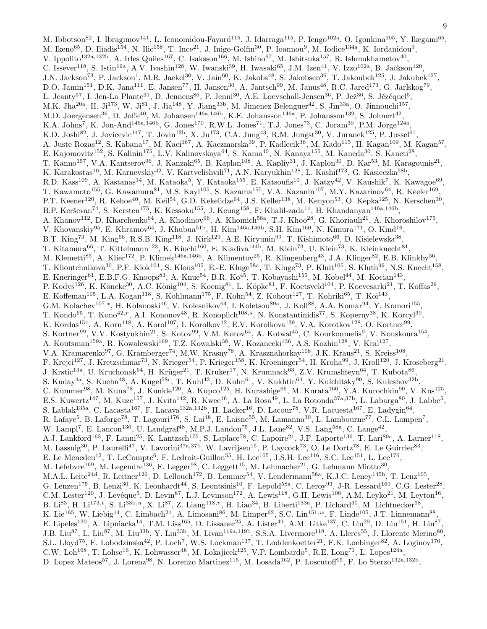M. Ibbotson<sup>82</sup>, I. Ibragimov<sup>141</sup>, L. Iconomidou-Fayard<sup>115</sup>, J. Idarraga<sup>115</sup>, P. Iengo<sup>102a</sup>, O. Igonkina<sup>105</sup>, Y. Ikegami<sup>65</sup>, M. Ikeno<sup>65</sup>, D. Iliadis<sup>154</sup>, N. Ilic<sup>158</sup>, T. Ince<sup>21</sup>, J. Inigo-Golfin<sup>30</sup>, P. Ioannou<sup>9</sup>, M. Iodice<sup>134a</sup>, K. Iordanidou<sup>9</sup>, V. Ippolito<sup>132a,132b</sup>, A. Irles Quiles<sup>167</sup>, C. Isaksson<sup>166</sup>, M. Ishino<sup>67</sup>, M. Ishitsuka<sup>157</sup>, R. Ishmukhametov<sup>40</sup>, C. Issever<sup>118</sup>, S. Istin<sup>19a</sup>, A.V. Ivashin<sup>128</sup>, W. Iwanski<sup>39</sup>, H. Iwasaki<sup>65</sup>, J.M. Izen<sup>41</sup>, V. Izzo<sup>102a</sup>, B. Jackson<sup>120</sup>, J.N. Jackson<sup>73</sup>, P. Jackson<sup>1</sup>, M.R. Jaekel<sup>30</sup>, V. Jain<sup>60</sup>, K. Jakobs<sup>48</sup>, S. Jakobsen<sup>36</sup>, T. Jakoubek<sup>125</sup>, J. Jakubek<sup>127</sup>, D.O. Jamin<sup>151</sup>, D.K. Jana<sup>111</sup>, E. Jansen<sup>77</sup>, H. Jansen<sup>30</sup>, A. Jantsch<sup>99</sup>, M. Janus<sup>48</sup>, R.C. Jared<sup>173</sup>, G. Jarlskog<sup>79</sup>, L. Jeanty<sup>57</sup>, I. Jen-La Plante<sup>31</sup>, D. Jennens<sup>86</sup>, P. Jenni<sup>30</sup>, A.E. Loevschall-Jensen<sup>36</sup>, P. Jež<sup>36</sup>, S. Jézéquel<sup>5</sup>, M.K. Jha<sup>20a</sup>, H. Ji<sup>173</sup>, W. Ji<sup>81</sup>, J. Jia<sup>148</sup>, Y. Jiang<sup>33b</sup>, M. Jimenez Belenguer<sup>42</sup>, S. Jin<sup>33a</sup>, O. Jinnouchi<sup>157</sup>, M.D. Joergensen<sup>36</sup>, D. Joffe<sup>40</sup>, M. Johansen<sup>146a,146b</sup>, K.E. Johansson<sup>146a</sup>, P. Johansson<sup>139</sup>, S. Johnert<sup>42</sup>, K.A. Johns<sup>7</sup>, K. Jon-And<sup>146a,146b</sup>, G. Jones<sup>170</sup>, R.W.L. Jones<sup>71</sup>, T.J. Jones<sup>73</sup>, C. Joram<sup>30</sup>, P.M. Jorge<sup>124a</sup>, K.D. Joshi<sup>82</sup>, J. Jovicevic<sup>147</sup>, T. Jovin<sup>13b</sup>, X. Ju<sup>173</sup>, C.A. Jung<sup>43</sup>, R.M. Jungst<sup>30</sup>, V. Juranek<sup>125</sup>, P. Jussel<sup>61</sup>, A. Juste Rozas<sup>12</sup>, S. Kabana<sup>17</sup>, M. Kaci<sup>167</sup>, A. Kaczmarska<sup>39</sup>, P. Kadlecik<sup>36</sup>, M. Kado<sup>115</sup>, H. Kagan<sup>109</sup>, M. Kagan<sup>57</sup>, E. Kajomovitz<sup>152</sup>, S. Kalinin<sup>175</sup>, L.V. Kalinovskaya<sup>64</sup>, S. Kama<sup>40</sup>, N. Kanaya<sup>155</sup>, M. Kaneda<sup>30</sup>, S. Kaneti<sup>28</sup>, T. Kanno<sup>157</sup>, V.A. Kantserov<sup>96</sup>, J. Kanzaki<sup>65</sup>, B. Kaplan<sup>108</sup>, A. Kapliy<sup>31</sup>, J. Kaplon<sup>30</sup>, D. Kar<sup>53</sup>, M. Karagounis<sup>21</sup>, K. Karakostas<sup>10</sup>, M. Karnevskiy<sup>42</sup>, V. Kartvelishvili<sup>71</sup>, A.N. Karyukhin<sup>128</sup>, L. Kashif<sup>173</sup>, G. Kasieczka<sup>58b</sup>, R.D. Kass<sup>109</sup>, A. Kastanas<sup>14</sup>, M. Kataoka<sup>5</sup>, Y. Kataoka<sup>155</sup>, E. Katsoufis<sup>10</sup>, J. Katzy<sup>42</sup>, V. Kaushik<sup>7</sup>, K. Kawagoe<sup>69</sup>, T. Kawamoto<sup>155</sup>, G. Kawamura<sup>81</sup>, M.S. Kayl<sup>105</sup>, S. Kazama<sup>155</sup>, V.A. Kazanin<sup>107</sup>, M.Y. Kazarinov<sup>64</sup>, R. Keeler<sup>169</sup>, P.T. Keener<sup>120</sup>, R. Kehoe<sup>40</sup>, M. Keil<sup>54</sup>, G.D. Kekelidze<sup>64</sup>, J.S. Keller<sup>138</sup>, M. Kenyon<sup>53</sup>, O. Kepka<sup>125</sup>, N. Kerschen<sup>30</sup>, B.P. Kerševan<sup>74</sup>, S. Kersten<sup>175</sup>, K. Kessoku<sup>155</sup>, J. Keung<sup>158</sup>, F. Khalil-zada<sup>11</sup>, H. Khandanyan<sup>146a,146b</sup>, A. Khanov<sup>112</sup>, D. Kharchenko<sup>64</sup>, A. Khodinov<sup>96</sup>, A. Khomich<sup>58a</sup>, T.J. Khoo<sup>28</sup>, G. Khoriauli<sup>21</sup>, A. Khoroshilov<sup>175</sup>, V. Khovanskiy<sup>95</sup>, E. Khramov<sup>64</sup>, J. Khubua<sup>51b</sup>, H. Kim<sup>146a,146b</sup>, S.H. Kim<sup>160</sup>, N. Kimura<sup>171</sup>, O. Kind<sup>16</sup>, B.T. King<sup>73</sup>, M. King<sup>66</sup>, R.S.B. King<sup>118</sup>, J. Kirk<sup>129</sup>, A.E. Kiryunin<sup>99</sup>, T. Kishimoto<sup>66</sup>, D. Kisielewska<sup>38</sup>, T. Kitamura<sup>66</sup>, T. Kittelmann<sup>123</sup>, K. Kiuchi<sup>160</sup>, E. Kladiva<sup>144b</sup>, M. Klein<sup>73</sup>, U. Klein<sup>73</sup>, K. Kleinknecht<sup>81</sup>, M. Klemetti<sup>85</sup>, A. Klier<sup>172</sup>, P. Klimek<sup>146a,146b</sup>, A. Klimentov<sup>25</sup>, R. Klingenberg<sup>43</sup>, J.A. Klinger<sup>82</sup>, E.B. Klinkby<sup>36</sup>, T. Klioutchnikova<sup>30</sup>, P.F. Klok<sup>104</sup>, S. Klous<sup>105</sup>, E.-E. Kluge<sup>58a</sup>, T. Kluge<sup>73</sup>, P. Kluit<sup>105</sup>, S. Kluth<sup>99</sup>, N.S. Knecht<sup>158</sup>, E. Kneringer<sup>61</sup>, E.B.F.G. Knoops<sup>83</sup>, A. Knue<sup>54</sup>, B.R. Ko<sup>45</sup>, T. Kobayashi<sup>155</sup>, M. Kobel<sup>44</sup>, M. Kocian<sup>143</sup>, P. Kodys<sup>126</sup>, K. Köneke<sup>30</sup>, A.C. König<sup>104</sup>, S. Koenig<sup>81</sup>, L. Köpke<sup>81</sup>, F. Koetsveld<sup>104</sup>, P. Koevesarki<sup>21</sup>, T. Koffas<sup>29</sup>, E. Koffeman<sup>105</sup>, L.A. Kogan<sup>118</sup>, S. Kohlmann<sup>175</sup>, F. Kohn<sup>54</sup>, Z. Kohout<sup>127</sup>, T. Kohriki<sup>65</sup>, T. Koi<sup>143</sup>, G.M. Kolachev<sup>107,\*</sup>, H. Kolanoski<sup>16</sup>, V. Kolesnikov<sup>64</sup>, I. Koletsou<sup>89a</sup>, J. Koll<sup>88</sup>, A.A. Komar<sup>94</sup>, Y. Komori<sup>155</sup>, T. Kondo<sup>65</sup>, T. Kono<sup>42,r</sup>, A.I. Kononov<sup>48</sup>, R. Konoplich<sup>108,s</sup>, N. Konstantinidis<sup>77</sup>, S. Koperny<sup>38</sup>, K. Korcyl<sup>39</sup>, K. Kordas<sup>154</sup>, A. Korn<sup>118</sup>, A. Korol<sup>107</sup>, I. Korolkov<sup>12</sup>, E.V. Korolkova<sup>139</sup>, V.A. Korotkov<sup>128</sup>, O. Kortner<sup>99</sup>, S. Kortner<sup>99</sup>, V.V. Kostyukhin<sup>21</sup>, S. Kotov<sup>99</sup>, V.M. Kotov<sup>64</sup>, A. Kotwal<sup>45</sup>, C. Kourkoumelis<sup>9</sup>, V. Kouskoura<sup>154</sup>, A. Koutsman<sup>159a</sup>, R. Kowalewski<sup>169</sup>, T.Z. Kowalski<sup>38</sup>, W. Kozanecki<sup>136</sup>, A.S. Kozhin<sup>128</sup>, V. Kral<sup>127</sup>, V.A. Kramarenko<sup>97</sup>, G. Kramberger<sup>74</sup>, M.W. Krasny<sup>78</sup>, A. Krasznahorkay<sup>108</sup>, J.K. Kraus<sup>21</sup>, S. Kreiss<sup>108</sup>, F. Krejci<sup>127</sup>, J. Kretzschmar<sup>73</sup>, N. Krieger<sup>54</sup>, P. Krieger<sup>158</sup>, K. Kroeninger<sup>54</sup>, H. Kroha<sup>99</sup>, J. Kroll<sup>120</sup>, J. Kroseberg<sup>21</sup>, J. Krstic<sup>13a</sup>, U. Kruchonak<sup>64</sup>, H. Krüger<sup>21</sup>, T. Kruker<sup>17</sup>, N. Krumnack<sup>63</sup>, Z.V. Krumshteyn<sup>64</sup>, T. Kubota<sup>86</sup>, S. Kuday<sup>4a</sup>, S. Kuehn<sup>48</sup>, A. Kugel<sup>58c</sup>, T. Kuhl<sup>42</sup>, D. Kuhn<sup>61</sup>, V. Kukhtin<sup>64</sup>, Y. Kulchitsky<sup>90</sup>, S. Kuleshov<sup>32b</sup>, C. Kummer<sup>98</sup>, M. Kuna<sup>78</sup>, J. Kunkle<sup>120</sup>, A. Kupco<sup>125</sup>, H. Kurashige<sup>66</sup>, M. Kurata<sup>160</sup>, Y.A. Kurochkin<sup>90</sup>, V. Kus<sup>125</sup>, E.S. Kuwertz<sup>147</sup>, M. Kuze<sup>157</sup>, J. Kvita<sup>142</sup>, R. Kwee<sup>16</sup>, A. La Rosa<sup>49</sup>, L. La Rotonda<sup>37a,37b</sup>, L. Labarga<sup>80</sup>, J. Labbe<sup>5</sup>, S. Lablak<sup>135a</sup>, C. Lacasta<sup>167</sup>, F. Lacava<sup>132a,132b</sup>, H. Lacker<sup>16</sup>, D. Lacour<sup>78</sup>, V.R. Lacuesta<sup>167</sup>, E. Ladygin<sup>64</sup>, R. Lafaye<sup>5</sup>, B. Laforge<sup>78</sup>, T. Lagouri<sup>176</sup>, S. Lai<sup>48</sup>, E. Laisne<sup>55</sup>, M. Lamanna<sup>30</sup>, L. Lambourne<sup>77</sup>, C.L. Lampen<sup>7</sup>, W. Lampl<sup>7</sup>, E. Lancon<sup>136</sup>, U. Landgraf<sup>48</sup>, M.P.J. Landon<sup>75</sup>, J.L. Lane<sup>82</sup>, V.S. Lang<sup>58a</sup>, C. Lange<sup>42</sup>, A.J. Lankford<sup>163</sup>, F. Lanni<sup>25</sup>, K. Lantzsch<sup>175</sup>, S. Laplace<sup>78</sup>, C. Lapoire<sup>21</sup>, J.F. Laporte<sup>136</sup>, T. Lari<sup>89a</sup>, A. Larner<sup>118</sup>, M. Lassnig<sup>30</sup>, P. Laurelli<sup>47</sup>, V. Lavorini<sup>37a,37b</sup>, W. Lavrijsen<sup>15</sup>, P. Laycock<sup>73</sup>, O. Le Dortz<sup>78</sup>, E. Le Guirriec<sup>83</sup>, E. Le Menedeu<sup>12</sup>, T. LeCompte<sup>6</sup>, F. Ledroit-Guillon<sup>55</sup>, H. Lee<sup>105</sup>, J.S.H. Lee<sup>116</sup>, S.C. Lee<sup>151</sup>, L. Lee<sup>176</sup>, M. Lefebvre<sup>169</sup>, M. Legendre<sup>136</sup>, F. Legger<sup>98</sup>, C. Leggett<sup>15</sup>, M. Lehmacher<sup>21</sup>, G. Lehmann Miotto<sup>30</sup>, M.A.L. Leite<sup>24d</sup>, R. Leitner<sup>126</sup>, D. Lellouch<sup>172</sup>, B. Lemmer<sup>54</sup>, V. Lendermann<sup>58a</sup>, K.J.C. Leney<sup>145b</sup>, T. Lenz<sup>105</sup>, G. Lenzen<sup>175</sup>, B. Lenzi<sup>30</sup>, K. Leonhardt<sup>44</sup>, S. Leontsinis<sup>10</sup>, F. Lepold<sup>58a</sup>, C. Leroy<sup>93</sup>, J-R. Lessard<sup>169</sup>, C.G. Lester<sup>28</sup>, C.M. Lester<sup>120</sup>, J. Levêque<sup>5</sup>, D. Levin<sup>87</sup>, L.J. Levinson<sup>172</sup>, A. Lewis<sup>118</sup>, G.H. Lewis<sup>108</sup>, A.M. Leyko<sup>21</sup>, M. Leyton<sup>16</sup>, B. Li<sup>83</sup>, H. Li<sup>173,t</sup>, S. Li<sup>33b,u</sup>, X. Li<sup>87</sup>, Z. Liang<sup>118,v</sup>, H. Liao<sup>34</sup>, B. Liberti<sup>133a</sup>, P. Lichard<sup>30</sup>, M. Lichtnecker<sup>98</sup>, K. Lie<sup>165</sup>, W. Liebig<sup>14</sup>, C. Limbach<sup>21</sup>, A. Limosani<sup>86</sup>, M. Limper<sup>62</sup>, S.C. Lin<sup>151,*w*</sup>, F. Linde<sup>105</sup>, J.T. Linnemann<sup>88</sup>, E. Lipeles<sup>120</sup>, A. Lipniacka<sup>14</sup>, T.M. Liss<sup>165</sup>, D. Lissauer<sup>25</sup>, A. Lister<sup>49</sup>, A.M. Litke<sup>137</sup>, C. Liu<sup>29</sup>, D. Liu<sup>151</sup>, H. Liu<sup>87</sup>, J.B. Liu<sup>87</sup>, L. Liu<sup>87</sup>, M. Liu<sup>33b</sup>, Y. Liu<sup>33b</sup>, M. Livan<sup>119a,119b</sup>, S.S.A. Livermore<sup>118</sup>, A. Lleres<sup>55</sup>, J. Llorente Merino<sup>80</sup>, S.L. Lloyd<sup>75</sup>, E. Lobodzinska<sup>42</sup>, P. Loch<sup>7</sup>, W.S. Lockman<sup>137</sup>, T. Loddenkoetter<sup>21</sup>, F.K. Loebinger<sup>82</sup>, A. Loginov<sup>176</sup>, C.W. Loh<sup>168</sup>, T. Lohse<sup>16</sup>, K. Lohwasser<sup>48</sup>, M. Lokajicek<sup>125</sup>, V.P. Lombardo<sup>5</sup>, R.E. Long<sup>71</sup>, L. Lopes<sup>124a</sup>, D. Lopez Mateos<sup>57</sup>, J. Lorenz<sup>98</sup>, N. Lorenzo Martinez<sup>115</sup>, M. Losada<sup>162</sup>, P. Loscutoff<sup>15</sup>, F. Lo Sterzo<sup>132a,132b</sup>,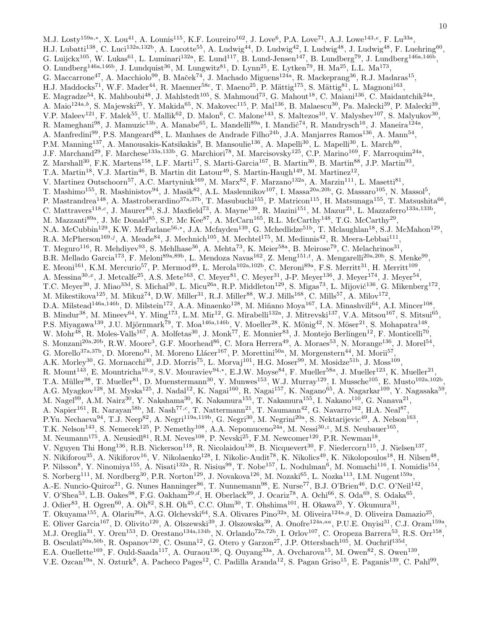M.J. Losty<sup>159a,\*</sup>, X. Lou<sup>41</sup>, A. Lounis<sup>115</sup>, K.F. Loureiro<sup>162</sup>, J. Love<sup>6</sup>, P.A. Love<sup>71</sup>, A.J. Lowe<sup>143,e</sup>, F. Lu<sup>33a</sup>, H.J. Lubatti<sup>138</sup>, C. Luci<sup>132a,132b</sup>, A. Lucotte<sup>55</sup>, A. Ludwig<sup>44</sup>, D. Ludwig<sup>42</sup>, I. Ludwig<sup>48</sup>, J. Ludwig<sup>48</sup>, F. Luehring<sup>60</sup>, G. Luijck $x^{105}$ , W. Lukas<sup>61</sup>, L. Luminari<sup>132a</sup>, E. Lund<sup>117</sup>, B. Lund-Jensen<sup>147</sup>, B. Lundberg<sup>79</sup>, J. Lundberg<sup>146a,146b</sup>, O. Lundberg<sup>146a,146b</sup>, J. Lundquist<sup>36</sup>, M. Lungwitz<sup>81</sup>, D. Lynn<sup>25</sup>, E. Lytken<sup>79</sup>, H. Ma<sup>25</sup>, L.L. Ma<sup>173</sup>, G. Maccarrone<sup>47</sup>, A. Macchiolo<sup>99</sup>, B. Maček<sup>74</sup>, J. Machado Miguens<sup>124a</sup>, R. Mackeprang<sup>36</sup>, R.J. Madaras<sup>15</sup>, H.J. Maddocks<sup>71</sup>, W.F. Mader<sup>44</sup>, R. Maenner<sup>58c</sup>, T. Maeno<sup>25</sup>, P. Mättig<sup>175</sup>, S. Mättig<sup>81</sup>, L. Magnoni<sup>163</sup>, E. Magradze<sup>54</sup>, K. Mahboubi<sup>48</sup>, J. Mahlstedt<sup>105</sup>, S. Mahmoud<sup>73</sup>, G. Mahout<sup>18</sup>, C. Maiani<sup>136</sup>, C. Maidantchik<sup>24a</sup>, A. Maio<sup>124a,b</sup>, S. Majewski<sup>25</sup>, Y. Makida<sup>65</sup>, N. Makovec<sup>115</sup>, P. Mal<sup>136</sup>, B. Malaescu<sup>30</sup>, Pa. Malecki<sup>39</sup>, P. Malecki<sup>39</sup>, V.P. Maleev<sup>121</sup>, F. Malek<sup>55</sup>, U. Mallik<sup>62</sup>, D. Malon<sup>6</sup>, C. Malone<sup>143</sup>, S. Maltezos<sup>10</sup>, V. Malyshev<sup>107</sup>, S. Malyukov<sup>30</sup>, R. Mameghani<sup>98</sup>, J. Mamuzic<sup>13b</sup>, A. Manabe<sup>65</sup>, L. Mandelli<sup>89a</sup>, I. Mandić<sup>74</sup>, R. Mandrysch<sup>16</sup>, J. Maneira<sup>124a</sup>, A. Manfredini<sup>99</sup>, P.S. Mangeard<sup>88</sup>, L. Manhaes de Andrade Filho<sup>24b</sup>, J.A. Manjarres Ramos<sup>136</sup>, A. Mann<sup>54</sup>, P.M. Manning<sup>137</sup>, A. Manousakis-Katsikakis<sup>9</sup>, B. Mansoulie<sup>136</sup>, A. Mapelli<sup>30</sup>, L. Mapelli<sup>30</sup>, L. March<sup>80</sup>, J.F. Marchand<sup>29</sup>, F. Marchese<sup>133a,133b</sup>, G. Marchiori<sup>78</sup>, M. Marcisovsky<sup>125</sup>, C.P. Marino<sup>169</sup>, F. Marroquim<sup>24a</sup>, Z. Marshall<sup>30</sup>, F.K. Martens<sup>158</sup>, L.F. Marti<sup>17</sup>, S. Marti-Garcia<sup>167</sup>, B. Martin<sup>30</sup>, B. Martin<sup>88</sup>, J.P. Martin<sup>93</sup>, T.A. Martin<sup>18</sup>, V.J. Martin<sup>46</sup>, B. Martin dit Latour<sup>49</sup>, S. Martin-Haugh<sup>149</sup>, M. Martinez<sup>12</sup>, V. Martinez Outschoorn<sup>57</sup>, A.C. Martyniuk<sup>169</sup>, M. Marx<sup>82</sup>, F. Marzano<sup>132a</sup>, A. Marzin<sup>111</sup>, L. Masetti<sup>81</sup>, T. Mashimo<sup>155</sup>, R. Mashinistov<sup>94</sup>, J. Masik<sup>82</sup>, A.L. Maslennikov<sup>107</sup>, I. Massa<sup>20a,20b</sup>, G. Massaro<sup>105</sup>, N. Massol<sup>5</sup>, P. Mastrandrea<sup>148</sup>, A. Mastroberardino<sup>37a,37b</sup>, T. Masubuchi<sup>155</sup>, P. Matricon<sup>115</sup>, H. Matsunaga<sup>155</sup>, T. Matsushita<sup>66</sup>, C. Mattravers<sup>118,c</sup>, J. Maurer<sup>83</sup>, S.J. Maxfield<sup>73</sup>, A. Mayne<sup>139</sup>, R. Mazini<sup>151</sup>, M. Mazur<sup>21</sup>, L. Mazzaferro<sup>133a,133b</sup>, M. Mazzanti<sup>89a</sup>, J. Mc Donald<sup>85</sup>, S.P. Mc Kee<sup>87</sup>, A. McCarn<sup>165</sup>, R.L. McCarthy<sup>148</sup>, T.G. McCarthy<sup>29</sup>, N.A. McCubbin<sup>129</sup>, K.W. McFarlane<sup>56,\*</sup>, J.A. Mcfayden<sup>139</sup>, G. Mchedlidze<sup>51b</sup>, T. Mclaughlan<sup>18</sup>, S.J. McMahon<sup>129</sup>, R.A. McPherson<sup>169,j</sup>, A. Meade<sup>84</sup>, J. Mechnich<sup>105</sup>, M. Mechtel<sup>175</sup>, M. Medinnis<sup>42</sup>, R. Meera-Lebbai<sup>111</sup>, T. Meguro<sup>116</sup>, R. Mehdiyev<sup>93</sup>, S. Mehlhase<sup>36</sup>, A. Mehta<sup>73</sup>, K. Meier<sup>58a</sup>, B. Meirose<sup>79</sup>, C. Melachrinos<sup>31</sup>, B.R. Mellado Garcia<sup>173</sup>, F. Meloni<sup>89a,89b</sup>, L. Mendoza Navas<sup>162</sup>, Z. Meng<sup>151,*t*</sup>, A. Mengarelli<sup>20a,20b</sup>, S. Menke<sup>99</sup>, E. Meoni<sup>161</sup>, K.M. Mercurio<sup>57</sup>, P. Mermod<sup>49</sup>, L. Merola<sup>102a,102b</sup>, C. Meroni<sup>89a</sup>, F.S. Merritt<sup>31</sup>, H. Merritt<sup>109</sup>, A. Messina<sup>30,x</sup>, J. Metcalfe<sup>25</sup>, A.S. Mete<sup>163</sup>, C. Meyer<sup>81</sup>, C. Meyer<sup>31</sup>, J-P. Meyer<sup>136</sup>, J. Meyer<sup>174</sup>, J. Meyer<sup>54</sup>, T.C. Meyer<sup>30</sup>, J. Miao<sup>33d</sup>, S. Michal<sup>30</sup>, L. Micu<sup>26a</sup>, R.P. Middleton<sup>129</sup>, S. Migas<sup>73</sup>, L. Mijović<sup>136</sup>, G. Mikenberg<sup>172</sup>, M. Mikestikova $^{125}$ , M. Mikuž $^{74}$ , D.W. Miller $^{31}$ , R.J. Miller $^{88}$ , W.J. Mills $^{168}$ , C. Mills $^{57}$ , A. Milov $^{172}$ , D.A. Milstead<sup>146a,146b</sup>, D. Milstein<sup>172</sup>, A.A. Minaenko<sup>128</sup>, M. Miñano Moya<sup>167</sup>, I.A. Minashvili<sup>64</sup>, A.I. Mincer<sup>108</sup>, B. Mindur<sup>38</sup>, M. Mineev<sup>64</sup>, Y. Ming<sup>173</sup>, L.M. Mir<sup>12</sup>, G. Mirabelli<sup>132a</sup>, J. Mitrevski<sup>137</sup>, V.A. Mitsou<sup>167</sup>, S. Mitsui<sup>65</sup>, P.S. Miyagawa<sup>139</sup>, J.U. Mjörnmark<sup>79</sup>, T. Moa<sup>146a,146b</sup>, V. Moeller<sup>28</sup>, K. Mönig<sup>42</sup>, N. Möser<sup>21</sup>, S. Mohapatra<sup>148</sup>, W. Mohr<sup>48</sup>, R. Moles-Valls<sup>167</sup>, A. Molfetas<sup>30</sup>, J. Monk<sup>77</sup>, E. Monnier<sup>83</sup>, J. Montejo Berlingen<sup>12</sup>, F. Monticelli<sup>70</sup>, S. Monzani<sup>20a,20b</sup>, R.W. Moore<sup>3</sup>, G.F. Moorhead<sup>86</sup>, C. Mora Herrera<sup>49</sup>, A. Moraes<sup>53</sup>, N. Morange<sup>136</sup>, J. Morel<sup>54</sup>, G. Morello<sup>37a,37b</sup>, D. Moreno<sup>81</sup>, M. Moreno Llácer<sup>167</sup>, P. Morettini<sup>50a</sup>, M. Morgenstern<sup>44</sup>, M. Morii<sup>57</sup>, A.K. Morley<sup>30</sup>, G. Mornacchi<sup>30</sup>, J.D. Morris<sup>75</sup>, L. Morvaj<sup>101</sup>, H.G. Moser<sup>99</sup>, M. Mosidze<sup>51b</sup>, J. Moss<sup>109</sup>, R. Mount<sup>143</sup>, E. Mountricha<sup>10,y</sup>, S.V. Mouraviev<sup>94,\*</sup>, E.J.W. Moyse<sup>84</sup>, F. Mueller<sup>58a</sup>, J. Mueller<sup>123</sup>, K. Mueller<sup>21</sup>, T.A. Müller<sup>98</sup>, T. Mueller<sup>81</sup>, D. Muenstermann<sup>30</sup>, Y. Munwes<sup>153</sup>, W.J. Murray<sup>129</sup>, I. Mussche<sup>105</sup>, E. Musto<sup>102a,102b</sup>, A.G. Myagkov $^{128}$ , M. Myska $^{125}$ , J. Nadal $^{12}$ , K. Nagai $^{160}$ , R. Nagai $^{157}$ , K. Nagano $^{65}$ , A. Nagarkar $^{109}$ , Y. Nagasaka $^{59}$ , M. Nagel<sup>99</sup>, A.M. Nairz<sup>30</sup>, Y. Nakahama<sup>30</sup>, K. Nakamura<sup>155</sup>, T. Nakamura<sup>155</sup>, I. Nakano<sup>110</sup>, G. Nanava<sup>21</sup>, A. Napier<sup>161</sup>, R. Narayan<sup>58b</sup>, M. Nash<sup>77,c</sup>, T. Nattermann<sup>21</sup>, T. Naumann<sup>42</sup>, G. Navarro<sup>162</sup>, H.A. Neal<sup>87</sup>, P.Yu. Nechaeva<sup>94</sup>, T.J. Neep<sup>82</sup>, A. Negri<sup>119a,119b</sup>, G. Negri<sup>30</sup>, M. Negrini<sup>20a</sup>, S. Nektarijevic<sup>49</sup>, A. Nelson<sup>163</sup>, T.K. Nelson<sup>143</sup>, S. Nemecek<sup>125</sup>, P. Nemethy<sup>108</sup>, A.A. Nepomuceno<sup>24a</sup>, M. Nessi<sup>30,z</sup>, M.S. Neubauer<sup>165</sup>, M. Neumann<sup>175</sup>, A. Neusiedl<sup>81</sup>, R.M. Neves<sup>108</sup>, P. Nevski<sup>25</sup>, F.M. Newcomer<sup>120</sup>, P.R. Newman<sup>18</sup>, V. Nguyen Thi Hong<sup>136</sup>, R.B. Nickerson<sup>118</sup>, R. Nicolaidou<sup>136</sup>, B. Nicquevert<sup>30</sup>, F. Niedercorn<sup>115</sup>, J. Nielsen<sup>137</sup>, N. Nikiforou<sup>35</sup>, A. Nikiforov<sup>16</sup>, V. Nikolaenko<sup>128</sup>, I. Nikolic-Audit<sup>78</sup>, K. Nikolics<sup>49</sup>, K. Nikolopoulos<sup>18</sup>, H. Nilsen<sup>48</sup>, P. Nilsson<sup>8</sup>, Y. Ninomiya<sup>155</sup>, A. Nisati<sup>132a</sup>, R. Nisius<sup>99</sup>, T. Nobe<sup>157</sup>, L. Nodulman<sup>6</sup>, M. Nomachi<sup>116</sup>, I. Nomidis<sup>154</sup>, S. Norberg<sup>111</sup>, M. Nordberg<sup>30</sup>, P.R. Norton<sup>129</sup>, J. Novakova<sup>126</sup>, M. Nozaki<sup>65</sup>, L. Nozka<sup>113</sup>, I.M. Nugent<sup>159a</sup>, A.-E. Nuncio-Quiroz<sup>21</sup>, G. Nunes Hanninger<sup>86</sup>, T. Nunnemann<sup>98</sup>, E. Nurse<sup>77</sup>, B.J. O'Brien<sup>46</sup>, D.C. O'Neil<sup>142</sup>, V. O'Shea<sup>53</sup>, L.B. Oakes<sup>98</sup>, F.G. Oakham<sup>29,d</sup>, H. Oberlack<sup>99</sup>, J. Ocariz<sup>78</sup>, A. Ochi<sup>66</sup>, S. Oda<sup>69</sup>, S. Odaka<sup>65</sup>, J. Odier<sup>83</sup>, H. Ogren<sup>60</sup>, A. Oh<sup>82</sup>, S.H. Oh<sup>45</sup>, C.C. Ohm<sup>30</sup>, T. Ohshima<sup>101</sup>, H. Okawa<sup>25</sup>, Y. Okumura<sup>31</sup>, T. Okuyama<sup>155</sup>, A. Olariu<sup>26a</sup>, A.G. Olchevski<sup>64</sup>, S.A. Olivares Pino<sup>32a</sup>, M. Oliveira<sup>124a,g</sup>, D. Oliveira Damazio<sup>25</sup>, E. Oliver Garcia<sup>167</sup>, D. Olivito<sup>120</sup>, A. Olszewski<sup>39</sup>, J. Olszowska<sup>39</sup>, A. Onofre<sup>124a,aa</sup>, P.U.E. Onyisi<sup>31</sup>, C.J. Oram<sup>159a</sup>, M.J. Oreglia<sup>31</sup>, Y. Oren<sup>153</sup>, D. Orestano<sup>134a,134b</sup>, N. Orlando<sup>72a,72b</sup>, I. Orlov<sup>107</sup>, C. Oropeza Barrera<sup>53</sup>, R.S. Orr<sup>158</sup>, B. Osculati<sup>50a,50b</sup>, R. Ospanov<sup>120</sup>, C. Osuna<sup>12</sup>, G. Otero y Garzon<sup>27</sup>, J.P. Ottersbach<sup>105</sup>, M. Ouchrif<sup>135d</sup>, E.A. Ouellette<sup>169</sup>, F. Ould-Saada<sup>117</sup>, A. Ouraou<sup>136</sup>, Q. Ouyang<sup>33a</sup>, A. Ovcharova<sup>15</sup>, M. Owen<sup>82</sup>, S. Owen<sup>139</sup>, V.E. Ozcan<sup>19a</sup>, N. Ozturk<sup>8</sup>, A. Pacheco Pages<sup>12</sup>, C. Padilla Aranda<sup>12</sup>, S. Pagan Griso<sup>15</sup>, E. Paganis<sup>139</sup>, C. Pahl<sup>99</sup>,

10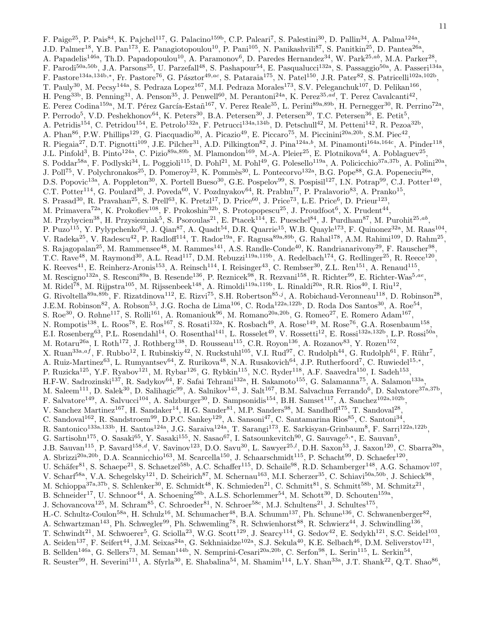F. Paige<sup>25</sup>, P. Pais<sup>84</sup>, K. Pajchel<sup>117</sup>, G. Palacino<sup>159b</sup>, C.P. Paleari<sup>7</sup>, S. Palestini<sup>30</sup>, D. Pallin<sup>34</sup>, A. Palma<sup>124a</sup>, J.D. Palmer<sup>18</sup>, Y.B. Pan<sup>173</sup>, E. Panagiotopoulou<sup>10</sup>, P. Pani<sup>105</sup>, N. Panikashvili<sup>87</sup>, S. Panitkin<sup>25</sup>, D. Pantea<sup>26a</sup>, A. Papadelis<sup>146a</sup>, Th.D. Papadopoulou<sup>10</sup>, A. Paramonov<sup>6</sup>, D. Paredes Hernandez<sup>34</sup>, W. Park<sup>25,ab</sup>, M.A. Parker<sup>28</sup>, F. Parodi<sup>50a,50b</sup>, J.A. Parsons<sup>35</sup>, U. Parzefall<sup>48</sup>, S. Pashapour<sup>54</sup>, E. Pasqualucci<sup>132a</sup>, S. Passaggio<sup>50a</sup>, A. Passeri<sup>134a</sup>, F. Pastore<sup>134a,134b,∗</sup>, Fr. Pastore<sup>76</sup>, G. Pásztor<sup>49,ac</sup>, S. Pataraia<sup>175</sup>, N. Patel<sup>150</sup>, J.R. Pater<sup>82</sup>, S. Patricelli<sup>102a,102b</sup>, T. Pauly<sup>30</sup>, M. Pecsy<sup>144a</sup>, S. Pedraza Lopez<sup>167</sup>, M.I. Pedraza Morales<sup>173</sup>, S.V. Peleganchuk<sup>107</sup>, D. Pelikan<sup>166</sup>, H. Peng<sup>33b</sup>, B. Penning<sup>31</sup>, A. Penson<sup>35</sup>, J. Penwell<sup>60</sup>, M. Perantoni<sup>24a</sup>, K. Perez<sup>35,ad</sup>, T. Perez Cavalcanti<sup>42</sup>, E. Perez Codina<sup>159a</sup>, M.T. Pérez García-Estañ<sup>167</sup>, V. Perez Reale<sup>35</sup>, L. Perini<sup>89a,89b</sup>, H. Pernegger<sup>30</sup>, R. Perrino<sup>72a</sup>, P. Perrodo<sup>5</sup>, V.D. Peshekhonov<sup>64</sup>, K. Peters<sup>30</sup>, B.A. Petersen<sup>30</sup>, J. Petersen<sup>30</sup>, T.C. Petersen<sup>36</sup>, E. Petit<sup>5</sup>, A. Petridis<sup>154</sup>, C. Petridou<sup>154</sup>, E. Petrolo<sup>132a</sup>, F. Petrucci<sup>134a,134b</sup>, D. Petschull<sup>42</sup>, M. Petteni<sup>142</sup>, R. Pezoa<sup>32b</sup>, A. Phan<sup>86</sup>, P.W. Phillips<sup>129</sup>, G. Piacquadio<sup>30</sup>, A. Picazio<sup>49</sup>, E. Piccaro<sup>75</sup>, M. Piccinini<sup>20a,20b</sup>, S.M. Piec<sup>42</sup>, R. Piegaia<sup>27</sup>, D.T. Pignotti<sup>109</sup>, J.E. Pilcher<sup>31</sup>, A.D. Pilkington<sup>82</sup>, J. Pina<sup>124a,b</sup>, M. Pinamonti<sup>164a,164c</sup>, A. Pinder<sup>118</sup>, J.L. Pinfold<sup>3</sup>, B. Pinto<sup>124a</sup>, C. Pizio<sup>89a,89b</sup>, M. Plamondon<sup>169</sup>, M.-A. Pleier<sup>25</sup>, E. Plotnikova<sup>64</sup>, A. Poblaguev<sup>25</sup>, S. Poddar<sup>58a</sup>, F. Podlyski<sup>34</sup>, L. Poggioli<sup>115</sup>, D. Pohl<sup>21</sup>, M. Pohl<sup>49</sup>, G. Polesello<sup>119a</sup>, A. Policicchio<sup>37a,37b</sup>, A. Polini<sup>20a</sup>, J. Poll<sup>75</sup>, V. Polychronakos<sup>25</sup>, D. Pomeroy<sup>23</sup>, K. Pommès<sup>30</sup>, L. Pontecorvo<sup>132a</sup>, B.G. Pope<sup>88</sup>, G.A. Popeneciu<sup>26a</sup>, D.S. Popovic<sup>13a</sup>, A. Poppleton<sup>30</sup>, X. Portell Bueso<sup>30</sup>, G.E. Pospelov<sup>99</sup>, S. Pospisil<sup>127</sup>, I.N. Potrap<sup>99</sup>, C.J. Potter<sup>149</sup>, C.T. Potter<sup>114</sup>, G. Poulard<sup>30</sup>, J. Poveda<sup>60</sup>, V. Pozdnyakov<sup>64</sup>, R. Prabhu<sup>77</sup>, P. Pralavorio<sup>83</sup>, A. Pranko<sup>15</sup>, S. Prasad<sup>30</sup>, R. Pravahan<sup>25</sup>, S. Prell<sup>63</sup>, K. Pretzl<sup>17</sup>, D. Price<sup>60</sup>, J. Price<sup>73</sup>, L.E. Price<sup>6</sup>, D. Prieur<sup>123</sup>, M. Primavera<sup>72a</sup>, K. Prokofiev<sup>108</sup>, F. Prokoshin<sup>32b</sup>, S. Protopopescu<sup>25</sup>, J. Proudfoot<sup>6</sup>, X. Prudent<sup>44</sup>, M. Przybycien<sup>38</sup>, H. Przysiezniak<sup>5</sup>, S. Psoroulas<sup>21</sup>, E. Ptacek<sup>114</sup>, E. Pueschel<sup>84</sup>, J. Purdham<sup>87</sup>, M. Purohit<sup>25,ab</sup>, P. Puzo<sup>115</sup>, Y. Pylypchenko<sup>62</sup>, J. Qian<sup>87</sup>, A. Quadt<sup>54</sup>, D.R. Quarrie<sup>15</sup>, W.B. Quayle<sup>173</sup>, F. Quinonez<sup>32a</sup>, M. Raas<sup>104</sup>, V. Radeka<sup>25</sup>, V. Radescu<sup>42</sup>, P. Radloff<sup>114</sup>, T. Rador<sup>19a</sup>, F. Ragusa<sup>89a,89b</sup>, G. Rahal<sup>178</sup>, A.M. Rahimi<sup>109</sup>, D. Rahm<sup>25</sup>, S. Rajagopalan<sup>25</sup>, M. Rammensee<sup>48</sup>, M. Rammes<sup>141</sup>, A.S. Randle-Conde<sup>40</sup>, K. Randrianarivony<sup>29</sup>, F. Rauscher<sup>98</sup>, T.C. Rave<sup>48</sup>, M. Raymond<sup>30</sup>, A.L. Read<sup>117</sup>, D.M. Rebuzzi<sup>119a,119b</sup>, A. Redelbach<sup>174</sup>, G. Redlinger<sup>25</sup>, R. Reece<sup>120</sup>, K. Reeves<sup>41</sup>, E. Reinherz-Aronis<sup>153</sup>, A. Reinsch<sup>114</sup>, I. Reisinger<sup>43</sup>, C. Rembser<sup>30</sup>, Z.L. Ren<sup>151</sup>, A. Renaud<sup>115</sup>, M. Rescigno<sup>132a</sup>, S. Resconi<sup>89a</sup>, B. Resende<sup>136</sup>, P. Reznicek<sup>98</sup>, R. Rezvani<sup>158</sup>, R. Richter<sup>99</sup>, E. Richter-Was<sup>5,ae</sup>, M. Ridel<sup>78</sup>, M. Rijpstra<sup>105</sup>, M. Rijssenbeek<sup>148</sup>, A. Rimoldi<sup>119a,119b</sup>, L. Rinaldi<sup>20a</sup>, R.R. Rios<sup>40</sup>, I. Riu<sup>12</sup>, G. Rivoltella<sup>89a,89b</sup>, F. Rizatdinova<sup>112</sup>, E. Rizvi<sup>75</sup>, S.H. Robertson<sup>85,j</sup>, A. Robichaud-Veronneau<sup>118</sup>, D. Robinson<sup>28</sup>, J.E.M. Robinson<sup>82</sup>, A. Robson<sup>53</sup>, J.G. Rocha de Lima<sup>106</sup>, C. Roda<sup>122a,122b</sup>, D. Roda Dos Santos<sup>30</sup>, A. Roe<sup>54</sup>, S. Roe<sup>30</sup>, O. Røhne<sup>117</sup>, S. Rolli<sup>161</sup>, A. Romaniouk<sup>96</sup>, M. Romano<sup>20a, 20b</sup>, G. Romeo<sup>27</sup>, E. Romero Adam<sup>167</sup>, N. Rompotis<sup>138</sup>, L. Roos<sup>78</sup>, E. Ros<sup>167</sup>, S. Rosati<sup>132a</sup>, K. Rosbach<sup>49</sup>, A. Rose<sup>149</sup>, M. Rose<sup>76</sup>, G.A. Rosenbaum<sup>158</sup>, E.I. Rosenberg<sup>63</sup>, P.L. Rosendahl<sup>14</sup>, O. Rosenthal<sup>141</sup>, L. Rosselet<sup>49</sup>, V. Rossetti<sup>12</sup>, E. Rossi<sup>132a,132b</sup>, L.P. Rossi<sup>50a</sup>, M. Rotaru<sup>26a</sup>, I. Roth<sup>172</sup>, J. Rothberg<sup>138</sup>, D. Rousseau<sup>115</sup>, C.R. Royon<sup>136</sup>, A. Rozanov<sup>83</sup>, Y. Rozen<sup>152</sup>, X. Ruan<sup>33a,af</sup>, F. Rubbo<sup>12</sup>, I. Rubinskiy<sup>42</sup>, N. Ruckstuhl<sup>105</sup>, V.I. Rud<sup>97</sup>, C. Rudolph<sup>44</sup>, G. Rudolph<sup>61</sup>, F. Rühr<sup>7</sup>, A. Ruiz-Martinez<sup>63</sup>, L. Rumyantsev<sup>64</sup>, Z. Rurikova<sup>48</sup>, N.A. Rusakovich<sup>64</sup>, J.P. Rutherfoord<sup>7</sup>, C. Ruwiedel<sup>15,\*</sup>, P. Ruzicka<sup>125</sup>, Y.F. Ryabov<sup>121</sup>, M. Rybar<sup>126</sup>, G. Rybkin<sup>115</sup>, N.C. Ryder<sup>118</sup>, A.F. Saavedra<sup>150</sup>, I. Sadeh<sup>153</sup>, H.F-W. Sadrozinski<sup>137</sup>, R. Sadykov<sup>64</sup>, F. Safai Tehrani<sup>132a</sup>, H. Sakamoto<sup>155</sup>, G. Salamanna<sup>75</sup>, A. Salamon<sup>133a</sup>, M. Saleem<sup>111</sup>, D. Salek<sup>30</sup>, D. Salihagic<sup>99</sup>, A. Salnikov<sup>143</sup>, J. Salt<sup>167</sup>, B.M. Salvachua Ferrando<sup>6</sup>, D. Salvatore<sup>37a,37b</sup>, F. Salvatore<sup>149</sup>, A. Salvucci<sup>104</sup>, A. Salzburger<sup>30</sup>, D. Sampsonidis<sup>154</sup>, B.H. Samset<sup>117</sup>, A. Sanchez<sup>102a,102b</sup>, V. Sanchez Martinez<sup>167</sup>, H. Sandaker<sup>14</sup>, H.G. Sander<sup>81</sup>, M.P. Sanders<sup>98</sup>, M. Sandhoff<sup>175</sup>, T. Sandoval<sup>28</sup>, C. Sandoval<sup>162</sup>, R. Sandstroem<sup>99</sup>, D.P.C. Sankey<sup>129</sup>, A. Sansoni<sup>47</sup>, C. Santamarina Rios<sup>85</sup>, C. Santoni<sup>34</sup>, R. Santonico<sup>133a,133b</sup>, H. Santos<sup>124a</sup>, J.G. Saraiva<sup>124a</sup>, T. Sarangi<sup>173</sup>, E. Sarkisyan-Grinbaum<sup>8</sup>, F. Sarri<sup>122a,122b</sup>, G. Sartisohn<sup>175</sup>, O. Sasaki<sup>65</sup>, Y. Sasaki<sup>155</sup>, N. Sasao<sup>67</sup>, I. Satsounkevitch<sup>90</sup>, G. Sauvage<sup>5,\*</sup>, E. Sauvan<sup>5</sup>, J.B. Sauvan<sup>115</sup>, P. Savard<sup>158,d</sup>, V. Savinov<sup>123</sup>, D.O. Savu<sup>30</sup>, L. Sawyer<sup>25,l</sup>, D.H. Saxon<sup>53</sup>, J. Saxon<sup>120</sup>, C. Sbarra<sup>20a</sup>, A. Sbrizzi<sup>20a,20b</sup>, D.A. Scannicchio<sup>163</sup>, M. Scarcella<sup>150</sup>, J. Schaarschmidt<sup>115</sup>, P. Schacht<sup>99</sup>, D. Schaefer<sup>120</sup>, U. Schäfer<sup>81</sup>, S. Schaepe<sup>21</sup>, S. Schaetzel<sup>58b</sup>, A.C. Schaffer<sup>115</sup>, D. Schaile<sup>98</sup>, R.D. Schamberger<sup>148</sup>, A.G. Schamov<sup>107</sup>, V. Scharf<sup>58a</sup>, V.A. Schegelsky<sup>121</sup>, D. Scheirich<sup>87</sup>, M. Schernau<sup>163</sup>, M.I. Scherzer<sup>35</sup>, C. Schiavi<sup>50a,50b</sup>, J. Schieck<sup>98</sup>, M. Schioppa<sup>37a,37b</sup>, S. Schlenker<sup>30</sup>, E. Schmidt<sup>48</sup>, K. Schmieden<sup>21</sup>, C. Schmitt<sup>81</sup>, S. Schmitt<sup>58b</sup>, M. Schmitz<sup>21</sup>, B. Schneider<sup>17</sup>, U. Schnoor<sup>44</sup>, A. Schoening<sup>58b</sup>, A.L.S. Schorlemmer<sup>54</sup>, M. Schott<sup>30</sup>, D. Schouten<sup>159a</sup>, J. Schovancova<sup>125</sup>, M. Schram<sup>85</sup>, C. Schroeder<sup>81</sup>, N. Schroer<sup>58c</sup>, M.J. Schultens<sup>21</sup>, J. Schultes<sup>175</sup>, H.-C. Schultz-Coulon<sup>58a</sup>, H. Schulz<sup>16</sup>, M. Schumacher<sup>48</sup>, B.A. Schumm<sup>137</sup>, Ph. Schune<sup>136</sup>, C. Schwanenberger<sup>82</sup>, A. Schwartzman<sup>143</sup>, Ph. Schwegler<sup>99</sup>, Ph. Schwemling<sup>78</sup>, R. Schwienhorst<sup>88</sup>, R. Schwierz<sup>44</sup>, J. Schwindling<sup>136</sup>, T. Schwindt<sup>21</sup>, M. Schwoerer<sup>5</sup>, G. Sciolla<sup>23</sup>, W.G. Scott<sup>129</sup>, J. Searcy<sup>114</sup>, G. Sedov<sup>42</sup>, E. Sedykh<sup>121</sup>, S.C. Seidel<sup>103</sup>, A. Seiden<sup>137</sup>, F. Seifert<sup>44</sup>, J.M. Seixas<sup>24a</sup>, G. Sekhniaidze<sup>102a</sup>, S.J. Sekula<sup>40</sup>, K.E. Selbach<sup>46</sup>, D.M. Seliverstov<sup>121</sup>,

B. Sellden<sup>146a</sup>, G. Sellers<sup>73</sup>, M. Seman<sup>144b</sup>, N. Semprini-Cesari<sup>20a,20b</sup>, C. Serfon<sup>98</sup>, L. Serin<sup>115</sup>, L. Serkin<sup>54</sup>,

R. Seuster<sup>99</sup>, H. Severini<sup>111</sup>, A. Sfyrla<sup>30</sup>, E. Shabalina<sup>54</sup>, M. Shamim<sup>114</sup>, L.Y. Shan<sup>33a</sup>, J.T. Shank<sup>22</sup>, Q.T. Shao<sup>86</sup>,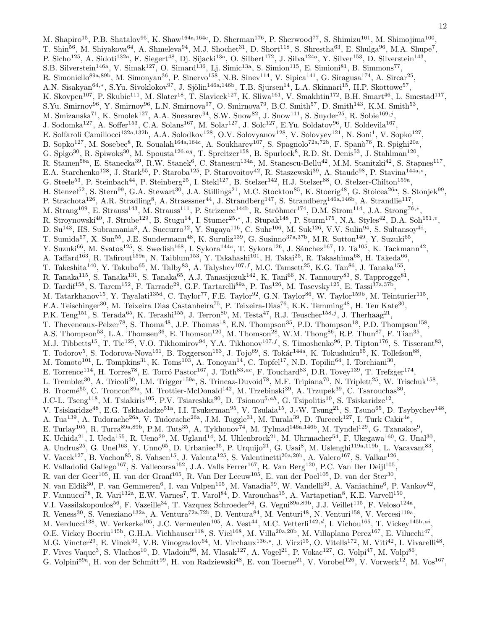M. Shapiro<sup>15</sup>, P.B. Shatalov<sup>95</sup>, K. Shaw<sup>164a,164c</sup>, D. Sherman<sup>176</sup>, P. Sherwood<sup>77</sup>, S. Shimizu<sup>101</sup>, M. Shimojima<sup>100</sup>, T. Shin<sup>56</sup>, M. Shiyakova<sup>64</sup>, A. Shmeleva<sup>94</sup>, M.J. Shochet<sup>31</sup>, D. Short<sup>118</sup>, S. Shrestha<sup>63</sup>, E. Shulga<sup>96</sup>, M.A. Shupe<sup>7</sup>, P. Sicho<sup>125</sup>, A. Sidoti<sup>132a</sup>, F. Siegert<sup>48</sup>, Dj. Sijacki<sup>13a</sup>, O. Silbert<sup>172</sup>, J. Silva<sup>124a</sup>, Y. Silver<sup>153</sup>, D. Silverstein<sup>143</sup>, S.B. Silverstein<sup>146a</sup>, V. Simak<sup>127</sup>, O. Simard<sup>136</sup>, Lj. Simic<sup>13a</sup>, S. Simion<sup>115</sup>, E. Simioni<sup>81</sup>, B. Simmons<sup>77</sup>, R. Simoniello<sup>89a,89b</sup>, M. Simonyan<sup>36</sup>, P. Sinervo<sup>158</sup>, N.B. Sinev<sup>114</sup>, V. Sipica<sup>141</sup>, G. Siragusa<sup>174</sup>, A. Sircar<sup>25</sup>, A.N. Sisakyan<sup>64,∗</sup>, S.Yu. Sivoklokov<sup>97</sup>, J. Sjölin<sup>146a,146b</sup>, T.B. Sjursen<sup>14</sup>, L.A. Skinnari<sup>15</sup>, H.P. Skottowe<sup>57</sup>, K. Skovpen<sup>107</sup>, P. Skubic<sup>111</sup>, M. Slater<sup>18</sup>, T. Slavicek<sup>127</sup>, K. Sliwa<sup>161</sup>, V. Smakhtin<sup>172</sup>, B.H. Smart<sup>46</sup>, L. Smestad<sup>117</sup>, S.Yu. Smirnov<sup>96</sup>, Y. Smirnov<sup>96</sup>, L.N. Smirnova<sup>97</sup>, O. Smirnova<sup>79</sup>, B.C. Smith<sup>57</sup>, D. Smith<sup>143</sup>, K.M. Smith<sup>53</sup>, M. Smizanska<sup>71</sup>, K. Smolek<sup>127</sup>, A.A. Snesarev<sup>94</sup>, S.W. Snow<sup>82</sup>, J. Snow<sup>111</sup>, S. Snyder<sup>25</sup>, R. Sobie<sup>169,j</sup>, J. Sodomka<sup>127</sup>, A. Soffer<sup>153</sup>, C.A. Solans<sup>167</sup>, M. Solar<sup>127</sup>, J. Solc<sup>127</sup>, E.Yu. Soldatov<sup>96</sup>, U. Soldevila<sup>167</sup>, E. Solfaroli Camillocci<sup>132a,132b</sup>, A.A. Solodkov<sup>128</sup>, O.V. Solovyanov<sup>128</sup>, V. Solovyev<sup>121</sup>, N. Soni<sup>1</sup>, V. Sopko<sup>127</sup>, B. Sopko<sup>127</sup>, M. Sosebee<sup>8</sup>, R. Soualah<sup>164a,164c</sup>, A. Soukharev<sup>107</sup>, S. Spagnolo<sup>72a,72b</sup>, F. Spanò<sup>76</sup>, R. Spighi<sup>20a</sup>, G. Spigo<sup>30</sup>, R. Spiwoks<sup>30</sup>, M. Spousta<sup>126,ag</sup>, T. Spreitzer<sup>158</sup>, B. Spurlock<sup>8</sup>, R.D. St. Denis<sup>53</sup>, J. Stahlman<sup>120</sup>, R. Stamen<sup>58a</sup>, E. Stanecka<sup>39</sup>, R.W. Stanek<sup>6</sup>, C. Stanescu<sup>134a</sup>, M. Stanescu-Bellu<sup>42</sup>, M.M. Stanitzki<sup>42</sup>, S. Stapnes<sup>117</sup>, E.A. Starchenko<sup>128</sup>, J. Stark<sup>55</sup>, P. Staroba<sup>125</sup>, P. Starovoitov<sup>42</sup>, R. Staszewski<sup>39</sup>, A. Staude<sup>98</sup>, P. Stavina<sup>144a,\*</sup>, G. Steele<sup>53</sup>, P. Steinbach<sup>44</sup>, P. Steinberg<sup>25</sup>, I. Stekl<sup>127</sup>, B. Stelzer<sup>142</sup>, H.J. Stelzer<sup>88</sup>, O. Stelzer-Chilton<sup>159a</sup>, H. Stenzel<sup>52</sup>, S. Stern<sup>99</sup>, G.A. Stewart<sup>30</sup>, J.A. Stillings<sup>21</sup>, M.C. Stockton<sup>85</sup>, K. Stoerig<sup>48</sup>, G. Stoicea<sup>26a</sup>, S. Stonjek<sup>99</sup>, P. Strachota<sup>126</sup>, A.R. Stradling<sup>8</sup>, A. Straessner<sup>44</sup>, J. Strandberg<sup>147</sup>, S. Strandberg<sup>146a,146b</sup>, A. Strandlie<sup>117</sup>, M. Strang<sup>109</sup>, E. Strauss<sup>143</sup>, M. Strauss<sup>111</sup>, P. Strizenec<sup>144b</sup>, R. Ströhmer<sup>174</sup>, D.M. Strom<sup>114</sup>, J.A. Strong<sup>76,\*</sup>, R. Stroynowski<sup>40</sup>, J. Strube<sup>129</sup>, B. Stugu<sup>14</sup>, I. Stumer<sup>25,\*</sup>, J. Stupak<sup>148</sup>, P. Sturm<sup>175</sup>, N.A. Styles<sup>42</sup>, D.A. Soh<sup>151,*v*</sup>, D. Su<sup>143</sup>, HS. Subramania<sup>3</sup>, A. Succurro<sup>12</sup>, Y. Sugaya<sup>116</sup>, C. Suhr<sup>106</sup>, M. Suk<sup>126</sup>, V.V. Sulin<sup>94</sup>, S. Sultansoy<sup>4d</sup>, T. Sumida<sup>67</sup>, X. Sun<sup>55</sup>, J.E. Sundermann<sup>48</sup>, K. Suruliz<sup>139</sup>, G. Susinno<sup>37a,37b</sup>, M.R. Sutton<sup>149</sup>, Y. Suzuki<sup>65</sup>, Y. Suzuki<sup>66</sup>, M. Svatos<sup>125</sup>, S. Swedish<sup>168</sup>, I. Sykora<sup>144a</sup>, T. Sykora<sup>126</sup>, J. Sánchez<sup>167</sup>, D. Ta<sup>105</sup>, K. Tackmann<sup>42</sup>, A. Taffard<sup>163</sup>, R. Tafirout<sup>159a</sup>, N. Taiblum<sup>153</sup>, Y. Takahashi<sup>101</sup>, H. Takai<sup>25</sup>, R. Takashima<sup>68</sup>, H. Takeda<sup>66</sup>, T. Takeshita<sup>140</sup>, Y. Takubo<sup>65</sup>, M. Talby<sup>83</sup>, A. Talyshev<sup>107,f</sup>, M.C. Tamsett<sup>25</sup>, K.G. Tan<sup>86</sup>, J. Tanaka<sup>155</sup>, R. Tanaka<sup>115</sup>, S. Tanaka<sup>131</sup>, S. Tanaka<sup>65</sup>, A.J. Tanasijczuk<sup>142</sup>, K. Tani<sup>66</sup>, N. Tannoury<sup>83</sup>, S. Tapprogge<sup>81</sup>, D. Tardif<sup>158</sup>, S. Tarem<sup>152</sup>, F. Tarrade<sup>29</sup>, G.F. Tartarelli<sup>89a</sup>, P. Tas<sup>126</sup>, M. Tasevsky<sup>125</sup>, E. Tassi<sup>37a,37b</sup>, M. Tatarkhanov<sup>15</sup>, Y. Tayalati<sup>135d</sup>, C. Taylor<sup>77</sup>, F.E. Taylor<sup>92</sup>, G.N. Taylor<sup>86</sup>, W. Taylor<sup>159b</sup>, M. Teinturier<sup>115</sup>, F.A. Teischinger<sup>30</sup>, M. Teixeira Dias Castanheira<sup>75</sup>, P. Teixeira-Dias<sup>76</sup>, K.K. Temming<sup>48</sup>, H. Ten Kate<sup>30</sup>, P.K. Teng<sup>151</sup>, S. Terada<sup>65</sup>, K. Terashi<sup>155</sup>, J. Terron<sup>80</sup>, M. Testa<sup>47</sup>, R.J. Teuscher<sup>158,j</sup>, J. Therhaag<sup>21</sup>, T. Theveneaux-Pelzer<sup>78</sup>, S. Thoma<sup>48</sup>, J.P. Thomas<sup>18</sup>, E.N. Thompson<sup>35</sup>, P.D. Thompson<sup>18</sup>, P.D. Thompson<sup>158</sup>, A.S. Thompson<sup>53</sup>, L.A. Thomsen<sup>36</sup>, E. Thomson<sup>120</sup>, M. Thomson<sup>28</sup>, W.M. Thong<sup>86</sup>, R.P. Thun<sup>87</sup>, F. Tian<sup>35</sup>, M.J. Tibbetts<sup>15</sup>, T. Tic<sup>125</sup>, V.O. Tikhomirov<sup>94</sup>, Y.A. Tikhonov<sup>107,f</sup>, S. Timoshenko<sup>96</sup>, P. Tipton<sup>176</sup>, S. Tisserant<sup>83</sup>, T. Todorov<sup>5</sup>, S. Todorova-Nova<sup>161</sup>, B. Toggerson<sup>163</sup>, J. Tojo<sup>69</sup>, S. Tokár<sup>144a</sup>, K. Tokushuku<sup>65</sup>, K. Tollefson<sup>88</sup>, M. Tomoto<sup>101</sup>, L. Tompkins<sup>31</sup>, K. Toms<sup>103</sup>, A. Tonoyan<sup>14</sup>, C. Topfel<sup>17</sup>, N.D. Topilin<sup>64</sup>, I. Torchiani<sup>30</sup>, E. Torrence<sup>114</sup>, H. Torres<sup>78</sup>, E. Torró Pastor<sup>167</sup>, J. Toth<sup>83,ac</sup>, F. Touchard<sup>83</sup>, D.R. Tovey<sup>139</sup>, T. Trefzger<sup>174</sup>, L. Tremblet<sup>30</sup>, A. Tricoli<sup>30</sup>, I.M. Trigger<sup>159a</sup>, S. Trincaz-Duvoid<sup>78</sup>, M.F. Tripiana<sup>70</sup>, N. Triplett<sup>25</sup>, W. Trischuk<sup>158</sup>, B. Trocmé<sup>55</sup>, C. Troncon<sup>89a</sup>, M. Trottier-McDonald<sup>142</sup>, M. Trzebinski<sup>39</sup>, A. Trzupek<sup>39</sup>, C. Tsarouchas<sup>30</sup>, J.C-L. Tseng<sup>118</sup>, M. Tsiakiris<sup>105</sup>, P.V. Tsiareshka<sup>90</sup>, D. Tsionou<sup>5,ah</sup>, G. Tsipolitis<sup>10</sup>, S. Tsiskaridze<sup>12</sup>, V. Tsiskaridze<sup>48</sup>, E.G. Tskhadadze<sup>51a</sup>, I.I. Tsukerman<sup>95</sup>, V. Tsulaia<sup>15</sup>, J.-W. Tsung<sup>21</sup>, S. Tsuno<sup>65</sup>, D. Tsybychev<sup>148</sup>, A. Tua<sup>139</sup>, A. Tudorache<sup>26a</sup>, V. Tudorache<sup>26a</sup>, J.M. Tuggle<sup>31</sup>, M. Turala<sup>39</sup>, D. Turecek<sup>127</sup>, I. Turk Cakir<sup>4e</sup>, E. Turlay<sup>105</sup>, R. Turra<sup>89a,89b</sup>, P.M. Tuts<sup>35</sup>, A. Tykhonov<sup>74</sup>, M. Tylmad<sup>146a,146b</sup>, M. Tyndel<sup>129</sup>, G. Tzanakos<sup>9</sup>, K. Uchida<sup>21</sup>, I. Ueda<sup>155</sup>, R. Ueno<sup>29</sup>, M. Ugland<sup>14</sup>, M. Uhlenbrock<sup>21</sup>, M. Uhrmacher<sup>54</sup>, F. Ukegawa<sup>160</sup>, G. Unal<sup>30</sup>, A. Undrus<sup>25</sup>, G. Unel<sup>163</sup>, Y. Unno<sup>65</sup>, D. Urbaniec<sup>35</sup>, P. Urquijo<sup>21</sup>, G. Usai<sup>8</sup>, M. Uslenghi<sup>119a,119b</sup>, L. Vacavant<sup>83</sup>, V. Vacek<sup>127</sup>, B. Vachon<sup>85</sup>, S. Vahsen<sup>15</sup>, J. Valenta<sup>125</sup>, S. Valentinetti<sup>20a,20b</sup>, A. Valero<sup>167</sup>, S. Valkar<sup>126</sup>, E. Valladolid Gallego<sup>167</sup>, S. Vallecorsa<sup>152</sup>, J.A. Valls Ferrer<sup>167</sup>, R. Van Berg<sup>120</sup>, P.C. Van Der Deijl<sup>105</sup>, R. van der Geer<sup>105</sup>, H. van der Graaf<sup>105</sup>, R. Van Der Leeuw<sup>105</sup>, E. van der Poel<sup>105</sup>, D. van der Ster<sup>30</sup>, N. van Eldik<sup>30</sup>, P. van Gemmeren<sup>6</sup>, I. van Vulpen<sup>105</sup>, M. Vanadia<sup>99</sup>, W. Vandelli<sup>30</sup>, A. Vaniachine<sup>6</sup>, P. Vankov<sup>42</sup>, F. Vannucci<sup>78</sup>, R. Vari<sup>132a</sup>, E.W. Varnes<sup>7</sup>, T. Varol<sup>84</sup>, D. Varouchas<sup>15</sup>, A. Vartapetian<sup>8</sup>, K.E. Varvell<sup>150</sup>, V.I. Vassilakopoulos<sup>56</sup>, F. Vazeille<sup>34</sup>, T. Vazquez Schroeder<sup>54</sup>, G. Vegni<sup>89a,89b</sup>, J.J. Veillet<sup>115</sup>, F. Veloso<sup>124a</sup>, R. Veness<sup>30</sup>, S. Veneziano<sup>132a</sup>, A. Ventura<sup>72a,72b</sup>, D. Ventura<sup>84</sup>, M. Venturi<sup>48</sup>, N. Venturi<sup>158</sup>, V. Vercesi<sup>119a</sup>, M. Verducci<sup>138</sup>, W. Verkerke<sup>105</sup>, J.C. Vermeulen<sup>105</sup>, A. Vest<sup>44</sup>, M.C. Vetterli<sup>142,d</sup>, I. Vichou<sup>165</sup>, T. Vickey<sup>145b,ai</sup>, O.E. Vickey Boeriu<sup>145b</sup>, G.H.A. Viehhauser<sup>118</sup>, S. Viel<sup>168</sup>, M. Villa<sup>20a,20b</sup>, M. Villaplana Perez<sup>167</sup>, E. Vilucchi<sup>47</sup>, M.G. Vincter<sup>29</sup>, E. Vinek<sup>30</sup>, V.B. Vinogradov<sup>64</sup>, M. Virchaux<sup>136,∗</sup>, J. Virzi<sup>15</sup>, O. Vitells<sup>172</sup>, M. Viti<sup>42</sup>, I. Vivarelli<sup>48</sup>, F. Vives Vaque<sup>3</sup>, S. Vlachos<sup>10</sup>, D. Vladoiu<sup>98</sup>, M. Vlasak<sup>127</sup>, A. Vogel<sup>21</sup>, P. Vokac<sup>127</sup>, G. Volpi<sup>47</sup>, M. Volpi<sup>86</sup>, G. Volpini<sup>89a</sup>, H. von der Schmitt<sup>99</sup>, H. von Radziewski<sup>48</sup>, E. von Toerne<sup>21</sup>, V. Vorobel<sup>126</sup>, V. Vorwerk<sup>12</sup>, M. Vos<sup>167</sup>,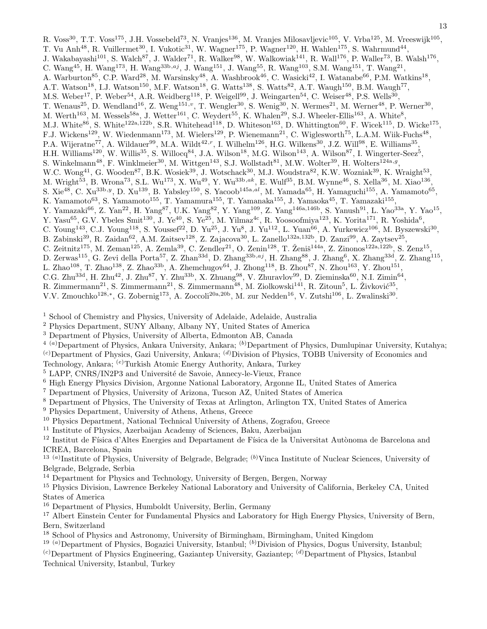R. Voss<sup>30</sup>, T.T. Voss<sup>175</sup>, J.H. Vossebeld<sup>73</sup>, N. Vranjes<sup>136</sup>, M. Vranjes Milosavljevic<sup>105</sup>, V. Vrba<sup>125</sup>, M. Vreeswijk<sup>105</sup>, T. Vu Anh<sup>48</sup>, R. Vuillermet<sup>30</sup>, I. Vukotic<sup>31</sup>, W. Wagner<sup>175</sup>, P. Wagner<sup>120</sup>, H. Wahlen<sup>175</sup>, S. Wahrmund<sup>44</sup>, , J. Wakabayashi<sup>101</sup>, S. Walch<sup>87</sup>, J. Walder<sup>71</sup>, R. Walker<sup>98</sup>, W. Walkowiak<sup>141</sup>, R. Wall<sup>176</sup>, P. Waller<sup>73</sup>, B. Walsh<sup>176</sup>, C. Wang<sup>45</sup>, H. Wang<sup>173</sup>, H. Wang<sup>33b,aj</sup>, J. Wang<sup>151</sup>, J. Wang<sup>55</sup>, R. Wang<sup>103</sup>, S.M. Wang<sup>151</sup>, T. Wang<sup>21</sup>, A. Warburton<sup>85</sup>, C.P. Ward<sup>28</sup>, M. Warsinsky<sup>48</sup>, A. Washbrook<sup>46</sup>, C. Wasicki<sup>42</sup>, I. Watanabe<sup>66</sup>, P.M. Watkins<sup>18</sup>, A.T. Watson<sup>18</sup>, I.J. Watson<sup>150</sup>, M.F. Watson<sup>18</sup>, G. Watts<sup>138</sup>, S. Watts<sup>82</sup>, A.T. Waugh<sup>150</sup>, B.M. Waugh<sup>77</sup>, M.S. Weber<sup>17</sup>, P. Weber<sup>54</sup>, A.R. Weidberg<sup>118</sup>, P. Weigell<sup>99</sup>, J. Weingarten<sup>54</sup>, C. Weiser<sup>48</sup>, P.S. Wells<sup>30</sup>, T. Wenaus<sup>25</sup>, D. Wendland<sup>16</sup>, Z. Weng<sup>151,</sup><sup>v</sup>, T. Wengler<sup>30</sup>, S. Wenig<sup>30</sup>, N. Wermes<sup>21</sup>, M. Werner<sup>48</sup>, P. Werner<sup>30</sup>, M. Werth<sup>163</sup>, M. Wessels<sup>58a</sup>, J. Wetter<sup>161</sup>, C. Weydert<sup>55</sup>, K. Whalen<sup>29</sup>, S.J. Wheeler-Ellis<sup>163</sup>, A. White<sup>8</sup>, M.J. White<sup>86</sup>, S. White<sup>122a,122b</sup>, S.R. Whitehead<sup>118</sup>, D. Whiteson<sup>163</sup>, D. Whittington<sup>60</sup>, F. Wicek<sup>115</sup>, D. Wicke<sup>175</sup>, F.J. Wickens<sup>129</sup>, W. Wiedenmann<sup>173</sup>, M. Wielers<sup>129</sup>, P. Wienemann<sup>21</sup>, C. Wiglesworth<sup>75</sup>, L.A.M. Wiik-Fuchs<sup>48</sup>, P.A. Wijeratne<sup>77</sup>, A. Wildauer<sup>99</sup>, M.A. Wildt<sup>42,r</sup>, I. Wilhelm<sup>126</sup>, H.G. Wilkens<sup>30</sup>, J.Z. Will<sup>98</sup>, E. Williams<sup>35</sup>, H.H. Williams<sup>120</sup>, W. Willis<sup>35</sup>, S. Willocq<sup>84</sup>, J.A. Wilson<sup>18</sup>, M.G. Wilson<sup>143</sup>, A. Wilson<sup>87</sup>, I. Wingerter-Seez<sup>5</sup>, S. Winkelmann<sup>48</sup>, F. Winklmeier<sup>30</sup>, M. Wittgen<sup>143</sup>, S.J. Wollstadt<sup>81</sup>, M.W. Wolter<sup>39</sup>, H. Wolters<sup>124a,g</sup>, W.C. Wong<sup>41</sup>, G. Wooden<sup>87</sup>, B.K. Wosiek<sup>39</sup>, J. Wotschack<sup>30</sup>, M.J. Woudstra<sup>82</sup>, K.W. Wozniak<sup>39</sup>, K. Wraight<sup>53</sup>, M. Wright<sup>53</sup>, B. Wrona<sup>73</sup>, S.L. Wu<sup>173</sup>, X. Wu<sup>49</sup>, Y. Wu<sup>33b,ak</sup>, E. Wulf<sup>35</sup>, B.M. Wynne<sup>46</sup>, S. Xella<sup>36</sup>, M. Xiao<sup>136</sup>, S. Xie<sup>48</sup>, C. Xu<sup>33b,y</sup>, D. Xu<sup>139</sup>, B. Yabsley<sup>150</sup>, S. Yacoob<sup>145a,al</sup>, M. Yamada<sup>65</sup>, H. Yamaguchi<sup>155</sup>, A. Yamamoto<sup>65</sup>, K. Yamamoto<sup>63</sup>, S. Yamamoto<sup>155</sup>, T. Yamamura<sup>155</sup>, T. Yamanaka<sup>155</sup>, J. Yamaoka<sup>45</sup>, T. Yamazaki<sup>155</sup>, Y. Yamazaki<sup>66</sup>, Z. Yan<sup>22</sup>, H. Yang<sup>87</sup>, U.K. Yang<sup>82</sup>, Y. Yang<sup>109</sup>, Z. Yang<sup>146a,146b</sup>, S. Yanush<sup>91</sup>, L. Yao<sup>33a</sup>, Y. Yao<sup>15</sup>, Y. Yasu<sup>65</sup>, G.V. Ybeles Smit<sup>130</sup>, J. Ye<sup>40</sup>, S. Ye<sup>25</sup>, M. Yilmaz<sup>4c</sup>, R. Yoosoofmiya<sup>123</sup>, K. Yorita<sup>171</sup>, R. Yoshida<sup>6</sup>, C. Young<sup>143</sup>, C.J. Young<sup>118</sup>, S. Youssef<sup>22</sup>, D. Yu<sup>25</sup>, J. Yu<sup>8</sup>, J. Yu<sup>112</sup>, L. Yuan<sup>66</sup>, A. Yurkewicz<sup>106</sup>, M. Byszewski<sup>30</sup>, B. Zabinski<sup>39</sup>, R. Zaidan<sup>62</sup>, A.M. Zaitsev<sup>128</sup>, Z. Zajacova<sup>30</sup>, L. Zanello<sup>132a,132b</sup>, D. Zanzi<sup>99</sup>, A. Zaytsev<sup>25</sup>, C. Zeitnitz<sup>175</sup>, M. Zeman<sup>125</sup>, A. Zemla<sup>39</sup>, C. Zendler<sup>21</sup>, O. Zenin<sup>128</sup>, T. Ženiš<sup>144a</sup>, Z. Zinonos<sup>122a,122b</sup>, S. Zenz<sup>15</sup>, D. Zerwas<sup>115</sup>, G. Zevi della Porta<sup>57</sup>, Z. Zhan<sup>33d</sup>, D. Zhang<sup>33b,aj</sup>, H. Zhang<sup>88</sup>, J. Zhang<sup>6</sup>, X. Zhang<sup>33d</sup>, Z. Zhang<sup>115</sup>, L. Zhao<sup>108</sup>, T. Zhao<sup>138</sup>, Z. Zhao<sup>33b</sup>, A. Zhemchugov<sup>64</sup>, J. Zhong<sup>118</sup>, B. Zhou<sup>87</sup>, N. Zhou<sup>163</sup>, Y. Zhou<sup>151</sup>, C.G. Zhu<sup>33d</sup>, H. Zhu<sup>42</sup>, J. Zhu<sup>87</sup>, Y. Zhu<sup>33b</sup>, X. Zhuang<sup>98</sup>, V. Zhuravlov<sup>99</sup>, D. Zieminska<sup>60</sup>, N.I. Zimin<sup>64</sup>, R. Zimmermann $^{21}$ , S. Zimmermann $^{21}$ , S. Zimmermann $^{48}$ , M. Ziolkowski $^{141}$ , R. Zitoun $^5$ , L. Živković $^{35}$ ,

V.V. Zmouchko<sup>128,∗</sup>, G. Zobernig<sup>173</sup>, A. Zoccoli<sup>20a,20b</sup>, M. zur Nedden<sup>16</sup>, V. Zutshi<sup>106</sup>, L. Zwalinski<sup>30</sup>.

<sup>1</sup> School of Chemistry and Physics, University of Adelaide, Adelaide, Australia

<sup>2</sup> Physics Department, SUNY Albany, Albany NY, United States of America

<sup>3</sup> Department of Physics, University of Alberta, Edmonton AB, Canada

 $4(a)$ Department of Physics, Ankara University, Ankara;  $(b)$ Department of Physics, Dumlupinar University, Kutahya;

(c)Department of Physics, Gazi University, Ankara; (d)Division of Physics, TOBB University of Economics and

Technology, Ankara; (e)Turkish Atomic Energy Authority, Ankara, Turkey

<sup>5</sup> LAPP, CNRS/IN2P3 and Université de Savoie, Annecy-le-Vieux, France

<sup>6</sup> High Energy Physics Division, Argonne National Laboratory, Argonne IL, United States of America

<sup>7</sup> Department of Physics, University of Arizona, Tucson AZ, United States of America

<sup>8</sup> Department of Physics, The University of Texas at Arlington, Arlington TX, United States of America

<sup>9</sup> Physics Department, University of Athens, Athens, Greece

<sup>10</sup> Physics Department, National Technical University of Athens, Zografou, Greece

<sup>11</sup> Institute of Physics, Azerbaijan Academy of Sciences, Baku, Azerbaijan

<sup>12</sup> Institut de Física d'Altes Energies and Departament de Física de la Universitat Autònoma de Barcelona and ICREA, Barcelona, Spain

<sup>13 (a)</sup>Institute of Physics, University of Belgrade, Belgrade; <sup>(b)</sup>Vinca Institute of Nuclear Sciences, University of Belgrade, Belgrade, Serbia

<sup>14</sup> Department for Physics and Technology, University of Bergen, Bergen, Norway

<sup>15</sup> Physics Division, Lawrence Berkeley National Laboratory and University of California, Berkeley CA, United States of America

<sup>16</sup> Department of Physics, Humboldt University, Berlin, Germany

<sup>17</sup> Albert Einstein Center for Fundamental Physics and Laboratory for High Energy Physics, University of Bern, Bern, Switzerland

<sup>18</sup> School of Physics and Astronomy, University of Birmingham, Birmingham, United Kingdom

<sup>19 (a)</sup>Department of Physics, Bogazici University, Istanbul; <sup>(b)</sup>Division of Physics, Dogus University, Istanbul;

(c)Department of Physics Engineering, Gaziantep University, Gaziantep; (d)Department of Physics, Istanbul Technical University, Istanbul, Turkey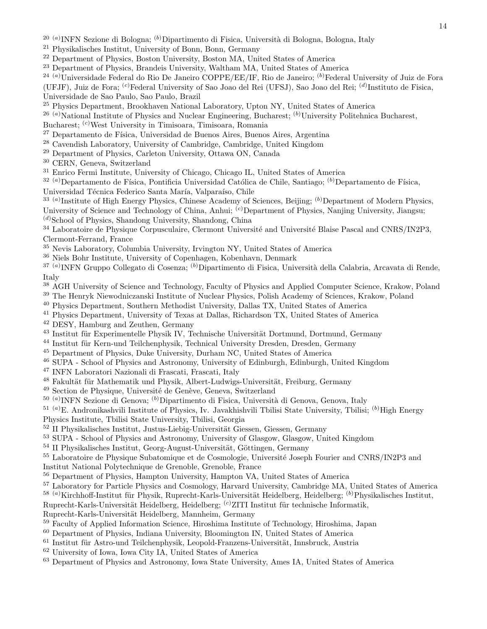<sup>21</sup> Physikalisches Institut, University of Bonn, Bonn, Germany

<sup>22</sup> Department of Physics, Boston University, Boston MA, United States of America

<sup>23</sup> Department of Physics, Brandeis University, Waltham MA, United States of America

 $^{24}$  (a)Universidade Federal do Rio De Janeiro COPPE/EE/IF, Rio de Janeiro; <sup>(b)</sup>Federal University of Juiz de Fora (UFJF), Juiz de Fora; <sup>(c)</sup>Federal University of Sao Joao del Rei (UFSJ), Sao Joao del Rei; <sup>(d)</sup>Instituto de Fisica,

Universidade de Sao Paulo, Sao Paulo, Brazil

<sup>25</sup> Physics Department, Brookhaven National Laboratory, Upton NY, United States of America

<sup>26 (a)</sup>National Institute of Physics and Nuclear Engineering, Bucharest; <sup>(b)</sup>University Politehnica Bucharest,

Bucharest; (c)West University in Timisoara, Timisoara, Romania

 $^{27}$  Departamento de Física, Universidad de Buenos Aires, Buenos Aires, Argentina

<sup>28</sup> Cavendish Laboratory, University of Cambridge, Cambridge, United Kingdom

<sup>29</sup> Department of Physics, Carleton University, Ottawa ON, Canada

<sup>30</sup> CERN, Geneva, Switzerland

<sup>31</sup> Enrico Fermi Institute, University of Chicago, Chicago IL, United States of America

 $32(a)$ Departamento de Física, Pontificia Universidad Católica de Chile, Santiago;  $(b)$ Departamento de Física,

Universidad Técnica Federico Santa María, Valparaíso, Chile

<sup>33 (a)</sup>Institute of High Energy Physics, Chinese Academy of Sciences, Beijing; <sup>(b)</sup>Department of Modern Physics,

University of Science and Technology of China, Anhui; <sup>(c)</sup>Department of Physics, Nanjing University, Jiangsu;

 $^{(d)}$ School of Physics, Shandong University, Shandong, China

<sup>34</sup> Laboratoire de Physique Corpusculaire, Clermont Université and Université Blaise Pascal and CNRS/IN2P3, Clermont-Ferrand, France

<sup>35</sup> Nevis Laboratory, Columbia University, Irvington NY, United States of America

<sup>36</sup> Niels Bohr Institute, University of Copenhagen, Kobenhavn, Denmark

<sup>37 (a)</sup>INFN Gruppo Collegato di Cosenza; <sup>(b)</sup>Dipartimento di Fisica, Università della Calabria, Arcavata di Rende, Italy

- <sup>38</sup> AGH University of Science and Technology, Faculty of Physics and Applied Computer Science, Krakow, Poland
- <sup>39</sup> The Henryk Niewodniczanski Institute of Nuclear Physics, Polish Academy of Sciences, Krakow, Poland

<sup>40</sup> Physics Department, Southern Methodist University, Dallas TX, United States of America

<sup>41</sup> Physics Department, University of Texas at Dallas, Richardson TX, United States of America

<sup>42</sup> DESY, Hamburg and Zeuthen, Germany

- <sup>43</sup> Institut für Experimentelle Physik IV, Technische Universität Dortmund, Dortmund, Germany
- <sup>44</sup> Institut für Kern-und Teilchenphysik, Technical University Dresden, Dresden, Germany
- <sup>45</sup> Department of Physics, Duke University, Durham NC, United States of America
- <sup>46</sup> SUPA School of Physics and Astronomy, University of Edinburgh, Edinburgh, United Kingdom
- <sup>47</sup> INFN Laboratori Nazionali di Frascati, Frascati, Italy
- <sup>48</sup> Fakultät für Mathematik und Physik, Albert-Ludwigs-Universität, Freiburg, Germany
- <sup>49</sup> Section de Physique, Université de Genève, Geneva, Switzerland

<sup>50 (a)</sup>INFN Sezione di Genova; <sup>(b)</sup>Dipartimento di Fisica, Università di Genova, Genova, Italy

 $^{51}$  (a)E. Andronikashvili Institute of Physics, Iv. Javakhishvili Tbilisi State University, Tbilisi; <sup>(b)</sup>High Energy

Physics Institute, Tbilisi State University, Tbilisi, Georgia

- $52$  II Physikalisches Institut, Justus-Liebig-Universität Giessen, Giessen, Germany
- <sup>53</sup> SUPA School of Physics and Astronomy, University of Glasgow, Glasgow, United Kingdom

 $54$  II Physikalisches Institut, Georg-August-Universität, Göttingen, Germany

<sup>55</sup> Laboratoire de Physique Subatomique et de Cosmologie, Université Joseph Fourier and CNRS/IN2P3 and

Institut National Polytechnique de Grenoble, Grenoble, France

<sup>56</sup> Department of Physics, Hampton University, Hampton VA, United States of America

<sup>57</sup> Laboratory for Particle Physics and Cosmology, Harvard University, Cambridge MA, United States of America

 $\frac{58}{a}$  (a)Kirchhoff-Institut für Physik, Ruprecht-Karls-Universität Heidelberg, Heidelberg;  $\frac{1}{b}$ Physikalisches Institut,

Ruprecht-Karls-Universität Heidelberg, Heidelberg; <sup>(c)</sup>ZITI Institut für technische Informatik,

Ruprecht-Karls-Universität Heidelberg, Mannheim, Germany

- <sup>59</sup> Faculty of Applied Information Science, Hiroshima Institute of Technology, Hiroshima, Japan
- <sup>60</sup> Department of Physics, Indiana University, Bloomington IN, United States of America
- $61$  Institut für Astro-und Teilchenphysik, Leopold-Franzens-Universität, Innsbruck, Austria
- <sup>62</sup> University of Iowa, Iowa City IA, United States of America
- <sup>63</sup> Department of Physics and Astronomy, Iowa State University, Ames IA, United States of America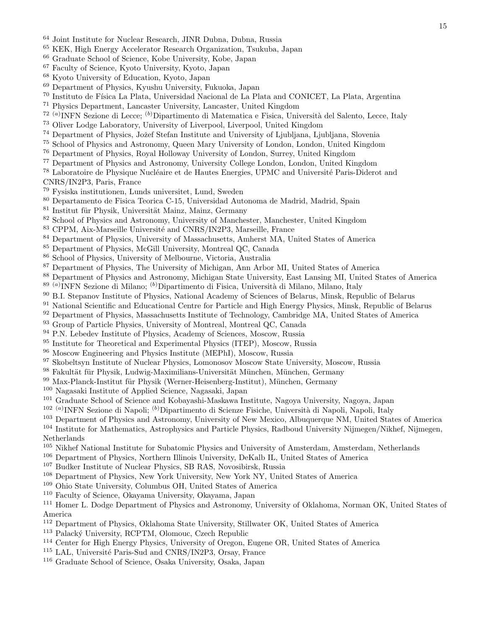- Joint Institute for Nuclear Research, JINR Dubna, Dubna, Russia
- KEK, High Energy Accelerator Research Organization, Tsukuba, Japan
- Graduate School of Science, Kobe University, Kobe, Japan
- Faculty of Science, Kyoto University, Kyoto, Japan
- Kyoto University of Education, Kyoto, Japan
- Department of Physics, Kyushu University, Fukuoka, Japan
- <sup>70</sup> Instituto de Física La Plata, Universidad Nacional de La Plata and CONICET, La Plata, Argentina
- Physics Department, Lancaster University, Lancaster, United Kingdom
- <sup>72 (a)</sup>INFN Sezione di Lecce; <sup>(b)</sup>Dipartimento di Matematica e Fisica, Università del Salento, Lecce, Italy
- Oliver Lodge Laboratory, University of Liverpool, Liverpool, United Kingdom
- <sup>74</sup> Department of Physics, Jožef Stefan Institute and University of Ljubljana, Ljubljana, Slovenia
- School of Physics and Astronomy, Queen Mary University of London, London, United Kingdom
- Department of Physics, Royal Holloway University of London, Surrey, United Kingdom
- Department of Physics and Astronomy, University College London, London, United Kingdom
- <sup>78</sup> Laboratoire de Physique Nucléaire et de Hautes Energies, UPMC and Université Paris-Diderot and CNRS/IN2P3, Paris, France
- Fysiska institutionen, Lunds universitet, Lund, Sweden
- Departamento de Fisica Teorica C-15, Universidad Autonoma de Madrid, Madrid, Spain
- Institut für Physik, Universität Mainz, Mainz, Germany
- School of Physics and Astronomy, University of Manchester, Manchester, United Kingdom
- <sup>83</sup> CPPM, Aix-Marseille Université and CNRS/IN2P3, Marseille, France
- Department of Physics, University of Massachusetts, Amherst MA, United States of America
- Department of Physics, McGill University, Montreal QC, Canada
- School of Physics, University of Melbourne, Victoria, Australia
- Department of Physics, The University of Michigan, Ann Arbor MI, United States of America
- Department of Physics and Astronomy, Michigan State University, East Lansing MI, United States of America
- <sup>89 (a)</sup>INFN Sezione di Milano; <sup>(b)</sup>Dipartimento di Fisica, Università di Milano, Milano, Italy
- B.I. Stepanov Institute of Physics, National Academy of Sciences of Belarus, Minsk, Republic of Belarus
- National Scientific and Educational Centre for Particle and High Energy Physics, Minsk, Republic of Belarus
- <sup>92</sup> Department of Physics, Massachusetts Institute of Technology, Cambridge MA, United States of America
- Group of Particle Physics, University of Montreal, Montreal QC, Canada
- <sup>94</sup> P.N. Lebedev Institute of Physics, Academy of Sciences, Moscow, Russia
- Institute for Theoretical and Experimental Physics (ITEP), Moscow, Russia
- Moscow Engineering and Physics Institute (MEPhI), Moscow, Russia
- Skobeltsyn Institute of Nuclear Physics, Lomonosov Moscow State University, Moscow, Russia
- 98 Fakultät für Physik, Ludwig-Maximilians-Universität München, München, Germany
- <sup>99</sup> Max-Planck-Institut für Physik (Werner-Heisenberg-Institut), München, Germany
- Nagasaki Institute of Applied Science, Nagasaki, Japan
- Graduate School of Science and Kobayashi-Maskawa Institute, Nagoya University, Nagoya, Japan
- <sup>102 (a)</sup>INFN Sezione di Napoli; <sup>(b)</sup>Dipartimento di Scienze Fisiche, Università di Napoli, Napoli, Italy
- Department of Physics and Astronomy, University of New Mexico, Albuquerque NM, United States of America
- Institute for Mathematics, Astrophysics and Particle Physics, Radboud University Nijmegen/Nikhef, Nijmegen, Netherlands
- Nikhef National Institute for Subatomic Physics and University of Amsterdam, Amsterdam, Netherlands
- Department of Physics, Northern Illinois University, DeKalb IL, United States of America
- Budker Institute of Nuclear Physics, SB RAS, Novosibirsk, Russia
- Department of Physics, New York University, New York NY, United States of America
- Ohio State University, Columbus OH, United States of America
- Faculty of Science, Okayama University, Okayama, Japan
- Homer L. Dodge Department of Physics and Astronomy, University of Oklahoma, Norman OK, United States of America
- Department of Physics, Oklahoma State University, Stillwater OK, United States of America
- <sup>113</sup> Palacký University, RCPTM, Olomouc, Czech Republic
- Center for High Energy Physics, University of Oregon, Eugene OR, United States of America
- <sup>115</sup> LAL, Université Paris-Sud and CNRS/IN2P3, Orsay, France
- Graduate School of Science, Osaka University, Osaka, Japan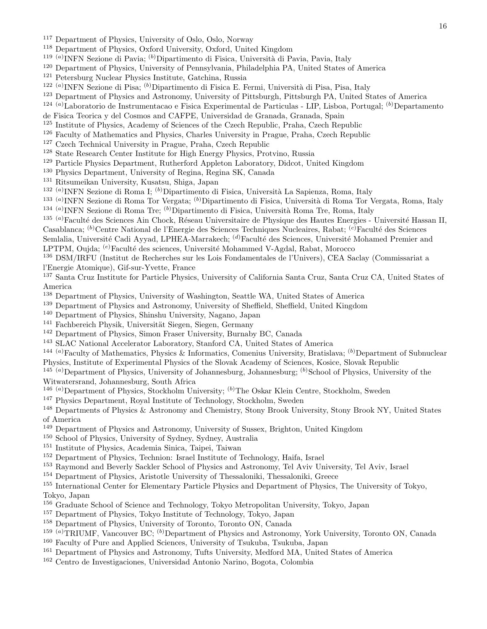- Department of Physics, University of Oslo, Oslo, Norway
- Department of Physics, Oxford University, Oxford, United Kingdom
- <sup>119 (a)</sup>INFN Sezione di Pavia; <sup>(b)</sup>Dipartimento di Fisica, Università di Pavia, Pavia, Italy
- Department of Physics, University of Pennsylvania, Philadelphia PA, United States of America
- Petersburg Nuclear Physics Institute, Gatchina, Russia
- <sup>122 (a)</sup>INFN Sezione di Pisa; <sup>(b)</sup>Dipartimento di Fisica E. Fermi, Università di Pisa, Pisa, Italy
- Department of Physics and Astronomy, University of Pittsburgh, Pittsburgh PA, United States of America
- <sup>124 (a)</sup>Laboratorio de Instrumentacao e Fisica Experimental de Particulas LIP, Lisboa, Portugal; <sup>(b)</sup>Departamento
- de Fisica Teorica y del Cosmos and CAFPE, Universidad de Granada, Granada, Spain
- Institute of Physics, Academy of Sciences of the Czech Republic, Praha, Czech Republic
- Faculty of Mathematics and Physics, Charles University in Prague, Praha, Czech Republic
- Czech Technical University in Prague, Praha, Czech Republic
- State Research Center Institute for High Energy Physics, Protvino, Russia
- Particle Physics Department, Rutherford Appleton Laboratory, Didcot, United Kingdom
- Physics Department, University of Regina, Regina SK, Canada
- Ritsumeikan University, Kusatsu, Shiga, Japan
- <sup>132 (a)</sup>INFN Sezione di Roma I; <sup>(b)</sup>Dipartimento di Fisica, Università La Sapienza, Roma, Italy
- <sup>133 (a)</sup>INFN Sezione di Roma Tor Vergata; <sup>(b)</sup>Dipartimento di Fisica, Università di Roma Tor Vergata, Roma, Italy
- <sup>134 (a)</sup>INFN Sezione di Roma Tre; <sup>(b)</sup>Dipartimento di Fisica, Università Roma Tre, Roma, Italy
- <sup>135 (a)</sup>Faculté des Sciences Ain Chock, Réseau Universitaire de Physique des Hautes Energies Université Hassan II, Casablanca; <sup>(b)</sup>Centre National de l'Energie des Sciences Techniques Nucleaires, Rabat; <sup>(c)</sup>Faculté des Sciences
- Semlalia, Université Cadi Ayyad, LPHEA-Marrakech; <sup>(d)</sup>Faculté des Sciences, Université Mohamed Premier and LPTPM, Oujda; <sup>(e)</sup>Faculté des sciences, Université Mohammed V-Agdal, Rabat, Morocco
- DSM/IRFU (Institut de Recherches sur les Lois Fondamentales de l'Univers), CEA Saclay (Commissariat a l'Energie Atomique), Gif-sur-Yvette, France
- Santa Cruz Institute for Particle Physics, University of California Santa Cruz, Santa Cruz CA, United States of America
- Department of Physics, University of Washington, Seattle WA, United States of America
- Department of Physics and Astronomy, University of Sheffield, Sheffield, United Kingdom
- Department of Physics, Shinshu University, Nagano, Japan
- Fachbereich Physik, Universität Siegen, Siegen, Germany
- Department of Physics, Simon Fraser University, Burnaby BC, Canada
- SLAC National Accelerator Laboratory, Stanford CA, United States of America
- <sup>144 (a)</sup>Faculty of Mathematics, Physics & Informatics, Comenius University, Bratislava; <sup>(b)</sup>Department of Subnuclear Physics, Institute of Experimental Physics of the Slovak Academy of Sciences, Kosice, Slovak Republic
- <sup>145 (a)</sup>Department of Physics, University of Johannesburg, Johannesburg; <sup>(b)</sup>School of Physics, University of the Witwatersrand, Johannesburg, South Africa
- <sup>146 (a)</sup>Department of Physics, Stockholm University; <sup>(b)</sup>The Oskar Klein Centre, Stockholm, Sweden
- Physics Department, Royal Institute of Technology, Stockholm, Sweden
- Departments of Physics & Astronomy and Chemistry, Stony Brook University, Stony Brook NY, United States of America
- Department of Physics and Astronomy, University of Sussex, Brighton, United Kingdom
- School of Physics, University of Sydney, Sydney, Australia
- Institute of Physics, Academia Sinica, Taipei, Taiwan
- Department of Physics, Technion: Israel Institute of Technology, Haifa, Israel
- Raymond and Beverly Sackler School of Physics and Astronomy, Tel Aviv University, Tel Aviv, Israel
- Department of Physics, Aristotle University of Thessaloniki, Thessaloniki, Greece
- International Center for Elementary Particle Physics and Department of Physics, The University of Tokyo, Tokyo, Japan
- Graduate School of Science and Technology, Tokyo Metropolitan University, Tokyo, Japan
- Department of Physics, Tokyo Institute of Technology, Tokyo, Japan
- Department of Physics, University of Toronto, Toronto ON, Canada
- <sup>159 (a)</sup>TRIUMF, Vancouver BC; <sup>(b)</sup>Department of Physics and Astronomy, York University, Toronto ON, Canada
- Faculty of Pure and Applied Sciences, University of Tsukuba, Tsukuba, Japan
- Department of Physics and Astronomy, Tufts University, Medford MA, United States of America
- Centro de Investigaciones, Universidad Antonio Narino, Bogota, Colombia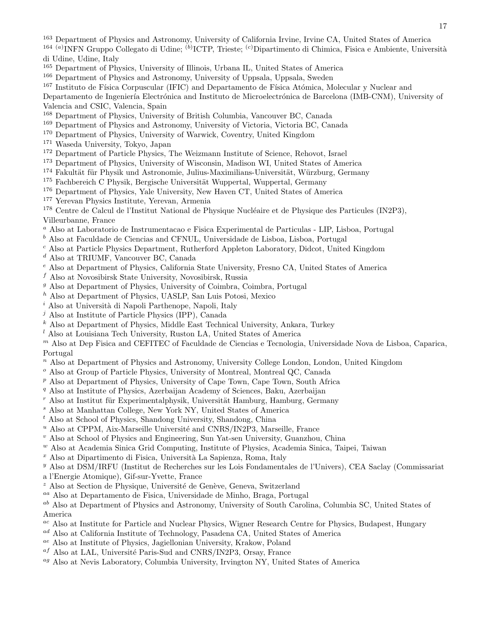<sup>163</sup> Department of Physics and Astronomy, University of California Irvine, Irvine CA, United States of America

<sup>164 (a)</sup>INFN Gruppo Collegato di Udine; <sup>(b)</sup>ICTP, Trieste; <sup>(c)</sup>Dipartimento di Chimica, Fisica e Ambiente, Università di Udine, Udine, Italy

- <sup>165</sup> Department of Physics, University of Illinois, Urbana IL, United States of America
- <sup>166</sup> Department of Physics and Astronomy, University of Uppsala, Uppsala, Sweden

<sup>167</sup> Instituto de Física Corpuscular (IFIC) and Departamento de Física Atómica, Molecular y Nuclear and Departamento de Ingeniería Electrónica and Instituto de Microelectrónica de Barcelona (IMB-CNM), University of

Valencia and CSIC, Valencia, Spain

- <sup>168</sup> Department of Physics, University of British Columbia, Vancouver BC, Canada
- <sup>169</sup> Department of Physics and Astronomy, University of Victoria, Victoria BC, Canada
- <sup>170</sup> Department of Physics, University of Warwick, Coventry, United Kingdom
- <sup>171</sup> Waseda University, Tokyo, Japan
- <sup>172</sup> Department of Particle Physics, The Weizmann Institute of Science, Rehovot, Israel
- <sup>173</sup> Department of Physics, University of Wisconsin, Madison WI, United States of America
- <sup>174</sup> Fakultät für Physik und Astronomie, Julius-Maximilians-Universität, Würzburg, Germany
- $175$  Fachbereich C Physik, Bergische Universität Wuppertal, Wuppertal, Germany
- <sup>176</sup> Department of Physics, Yale University, New Haven CT, United States of America
- <sup>177</sup> Yerevan Physics Institute, Yerevan, Armenia

 $178$  Centre de Calcul de l'Institut National de Physique Nucléaire et de Physique des Particules (IN2P3), Villeurbanne, France

- <sup>a</sup> Also at Laboratorio de Instrumentacao e Fisica Experimental de Particulas LIP, Lisboa, Portugal
- $<sup>b</sup>$  Also at Faculdade de Ciencias and CFNUL, Universidade de Lisboa, Lisboa, Portugal</sup>
- <sup>c</sup> Also at Particle Physics Department, Rutherford Appleton Laboratory, Didcot, United Kingdom
- <sup>d</sup> Also at TRIUMF, Vancouver BC, Canada
- <sup>e</sup> Also at Department of Physics, California State University, Fresno CA, United States of America
- <sup>f</sup> Also at Novosibirsk State University, Novosibirsk, Russia
- $^g$  Also at Department of Physics, University of Coimbra, Coimbra, Portugal
- $h$  Also at Department of Physics, UASLP, San Luis Potosi, Mexico
- $i$  Also at Università di Napoli Parthenope, Napoli, Italy
- $j$  Also at Institute of Particle Physics (IPP), Canada
- $k$  Also at Department of Physics, Middle East Technical University, Ankara, Turkey
- $l$  Also at Louisiana Tech University, Ruston LA, United States of America

 $<sup>m</sup>$  Also at Dep Fisica and CEFITEC of Faculdade de Ciencias e Tecnologia, Universidade Nova de Lisboa, Caparica,</sup> Portugal

- $n$  Also at Department of Physics and Astronomy, University College London, London, United Kingdom
- <sup>o</sup> Also at Group of Particle Physics, University of Montreal, Montreal QC, Canada
- $P$  Also at Department of Physics, University of Cape Town, Cape Town, South Africa
- <sup>q</sup> Also at Institute of Physics, Azerbaijan Academy of Sciences, Baku, Azerbaijan
- r Also at Institut für Experimentalphysik, Universität Hamburg, Hamburg, Germany
- <sup>s</sup> Also at Manhattan College, New York NY, United States of America
- $<sup>t</sup>$  Also at School of Physics, Shandong University, Shandong, China</sup>
- $^u$  Also at CPPM, Aix-Marseille Université and CNRS/IN2P3, Marseille, France
- <sup>v</sup> Also at School of Physics and Engineering, Sun Yat-sen University, Guanzhou, China
- <sup>w</sup> Also at Academia Sinica Grid Computing, Institute of Physics, Academia Sinica, Taipei, Taiwan
- $x$  Also at Dipartimento di Fisica, Università La Sapienza, Roma, Italy
- <sup>y</sup> Also at DSM/IRFU (Institut de Recherches sur les Lois Fondamentales de l'Univers), CEA Saclay (Commissariat

a l'Energie Atomique), Gif-sur-Yvette, France

- $z$  Also at Section de Physique, Université de Genève, Geneva, Switzerland
- aa Also at Departamento de Fisica, Universidade de Minho, Braga, Portugal

ab Also at Department of Physics and Astronomy, University of South Carolina, Columbia SC, United States of America

- ac Also at Institute for Particle and Nuclear Physics, Wigner Research Centre for Physics, Budapest, Hungary
- <sup>ad</sup> Also at California Institute of Technology, Pasadena CA, United States of America
- ae Also at Institute of Physics, Jagiellonian University, Krakow, Poland
- $^{af}$  Also at LAL, Université Paris-Sud and CNRS/IN2P3, Orsay, France
- ag Also at Nevis Laboratory, Columbia University, Irvington NY, United States of America